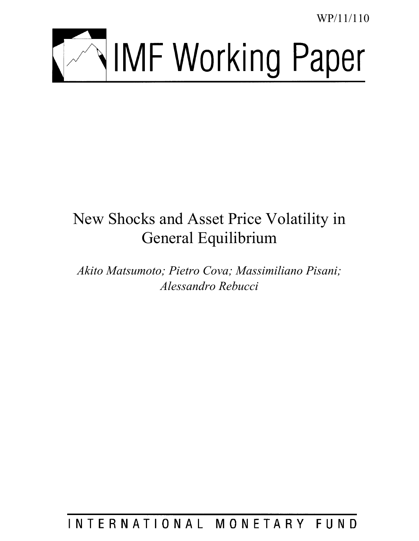WP/11/110



# New Shocks and Asset Price Volatility in General Equilibrium

*Akito Matsumoto; Pietro Cova; Massimiliano Pisani; Alessandro Rebucci* 

INTERNATIONAL MONETARY FUND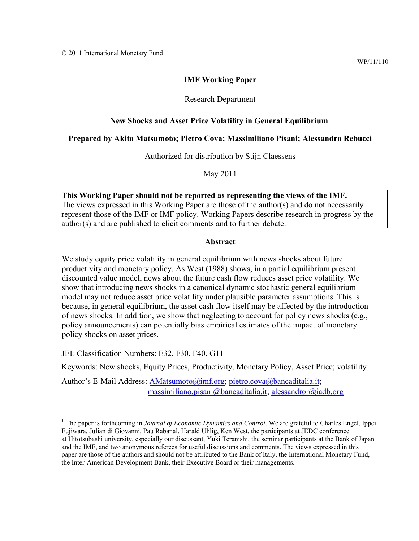# **IMF Working Paper**

# Research Department

# **New Shocks and Asset Price Volatility in General Equilibrium1**

# **Prepared by Akito Matsumoto; Pietro Cova; Massimiliano Pisani; Alessandro Rebucci**

Authorized for distribution by Stijn Claessens

May 2011

**This Working Paper should not be reported as representing the views of the IMF.**  The views expressed in this Working Paper are those of the author(s) and do not necessarily represent those of the IMF or IMF policy. Working Papers describe research in progress by the author(s) and are published to elicit comments and to further debate.

## **Abstract**

We study equity price volatility in general equilibrium with news shocks about future productivity and monetary policy. As West (1988) shows, in a partial equilibrium present discounted value model, news about the future cash flow reduces asset price volatility. We show that introducing news shocks in a canonical dynamic stochastic general equilibrium model may not reduce asset price volatility under plausible parameter assumptions. This is because, in general equilibrium, the asset cash flow itself may be affected by the introduction of news shocks. In addition, we show that neglecting to account for policy news shocks (e.g., policy announcements) can potentially bias empirical estimates of the impact of monetary policy shocks on asset prices.

JEL Classification Numbers: E32, F30, F40, G11

Keywords: New shocks, Equity Prices, Productivity, Monetary Policy, Asset Price; volatility

Author's E-Mail Address: AMatsumoto@imf.org; pietro.cova@bancaditalia.it; massimiliano.pisani@bancaditalia.it; alessandror@iadb.org

<sup>1</sup> <sup>1</sup> The paper is forthcoming in *Journal of Economic Dynamics and Control*. We are grateful to Charles Engel, Ippei Fujiwara, Julian di Giovanni, Pau Rabanal, Harald Uhlig, Ken West, the participants at JEDC conference at Hitotsubashi university, especially our discussant, Yuki Teranishi, the seminar participants at the Bank of Japan and the IMF, and two anonymous referees for useful discussions and comments. The views expressed in this paper are those of the authors and should not be attributed to the Bank of Italy, the International Monetary Fund, the Inter-American Development Bank, their Executive Board or their managements.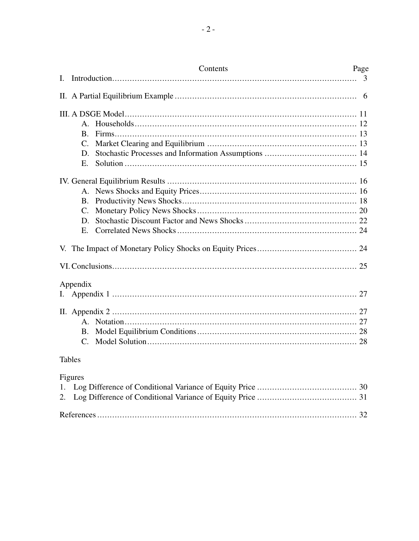|                | Contents      | Page |
|----------------|---------------|------|
| $\mathbf{I}$ . |               |      |
|                |               |      |
|                |               |      |
|                | C.            |      |
|                | D.<br>Е.      |      |
|                |               |      |
|                | A.<br>B.      |      |
|                | D.            |      |
|                | E.            |      |
|                |               |      |
|                |               |      |
|                | Appendix      |      |
|                |               |      |
|                | <b>Tables</b> |      |
|                | Figures       |      |
|                |               |      |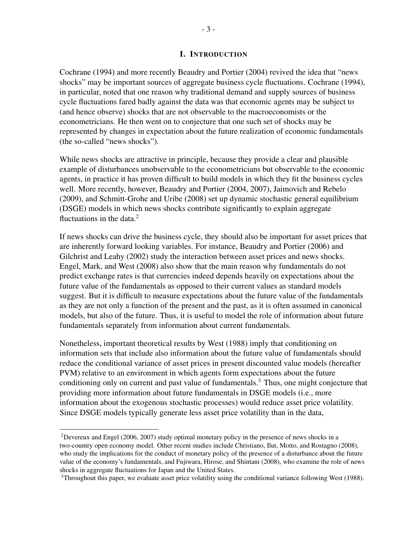## I. INTRODUCTION

Cochrane (1994) and more recently Beaudry and Portier (2004) revived the idea that "news shocks" may be important sources of aggregate business cycle fluctuations. Cochrane (1994), in particular, noted that one reason why traditional demand and supply sources of business cycle fluctuations fared badly against the data was that economic agents may be subject to (and hence observe) shocks that are not observable to the macroeconomists or the econometricians. He then went on to conjecture that one such set of shocks may be represented by changes in expectation about the future realization of economic fundamentals (the so-called "news shocks").

While news shocks are attractive in principle, because they provide a clear and plausible example of disturbances unobservable to the econometricians but observable to the economic agents, in practice it has proven difficult to build models in which they fit the business cycles well. More recently, however, Beaudry and Portier (2004, 2007), Jaimovich and Rebelo (2009), and Schmitt-Grohe and Uribe (2008) set up dynamic stochastic general equilibrium (DSGE) models in which news shocks contribute significantly to explain aggregate fluctuations in the data. $2$ 

If news shocks can drive the business cycle, they should also be important for asset prices that are inherently forward looking variables. For instance, Beaudry and Portier (2006) and Gilchrist and Leahy (2002) study the interaction between asset prices and news shocks. Engel, Mark, and West (2008) also show that the main reason why fundamentals do not predict exchange rates is that currencies indeed depends heavily on expectations about the future value of the fundamentals as opposed to their current values as standard models suggest. But it is difficult to measure expectations about the future value of the fundamentals as they are not only a function of the present and the past, as it is often assumed in canonical models, but also of the future. Thus, it is useful to model the role of information about future fundamentals separately from information about current fundamentals.

Nonetheless, important theoretical results by West (1988) imply that conditioning on information sets that include also information about the future value of fundamentals should reduce the conditional variance of asset prices in present discounted value models (hereafter PVM) relative to an environment in which agents form expectations about the future conditioning only on current and past value of fundamentals.<sup>3</sup> Thus, one might conjecture that providing more information about future fundamentals in DSGE models (i.e., more information about the exogenous stochastic processes) would reduce asset price volatility. Since DSGE models typically generate less asset price volatility than in the data,

<sup>2</sup>Devereux and Engel (2006, 2007) study optimal monetary policy in the presence of news shocks in a two-country open economy model. Other recent studies include Christiano, Ilut, Motto, and Rostagno (2008), who study the implications for the conduct of monetary policy of the presence of a disturbance about the future value of the economy's fundamentals, and Fujiwara, Hirose, and Shintani (2008), who examine the role of news shocks in aggregate fluctuations for Japan and the United States.

<sup>3</sup>Throughout this paper, we evaluate asset price volatility using the conditional variance following West (1988).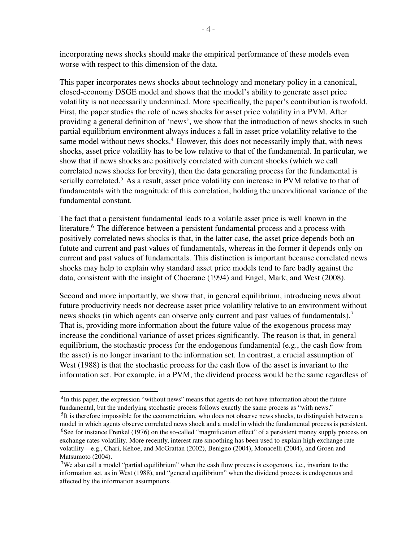incorporating news shocks should make the empirical performance of these models even worse with respect to this dimension of the data.

This paper incorporates news shocks about technology and monetary policy in a canonical, closed-economy DSGE model and shows that the model's ability to generate asset price volatility is not necessarily undermined. More specifically, the paper's contribution is twofold. First, the paper studies the role of news shocks for asset price volatility in a PVM. After providing a general definition of 'news', we show that the introduction of news shocks in such partial equilibrium environment always induces a fall in asset price volatility relative to the same model without news shocks.<sup>4</sup> However, this does not necessarily imply that, with news shocks, asset price volatility has to be low relative to that of the fundamental. In particular, we show that if news shocks are positively correlated with current shocks (which we call correlated news shocks for brevity), then the data generating process for the fundamental is serially correlated.<sup>5</sup> As a result, asset price volatility can increase in PVM relative to that of fundamentals with the magnitude of this correlation, holding the unconditional variance of the fundamental constant.

The fact that a persistent fundamental leads to a volatile asset price is well known in the literature.<sup>6</sup> The difference between a persistent fundamental process and a process with positively correlated news shocks is that, in the latter case, the asset price depends both on futute and current and past values of fundamentals, whereas in the former it depends only on current and past values of fundamentals. This distinction is important because correlated news shocks may help to explain why standard asset price models tend to fare badly against the data, consistent with the insight of Chocrane (1994) and Engel, Mark, and West (2008).

Second and more importantly, we show that, in general equilibrium, introducing news about future productivity needs not decrease asset price volatility relative to an environment without news shocks (in which agents can observe only current and past values of fundamentals).<sup>7</sup> That is, providing more information about the future value of the exogenous process may increase the conditional variance of asset prices significantly. The reason is that, in general equilibrium, the stochastic process for the endogenous fundamental (e.g., the cash flow from the asset) is no longer invariant to the information set. In contrast, a crucial assumption of West (1988) is that the stochastic process for the cash flow of the asset is invariant to the information set. For example, in a PVM, the dividend process would be the same regardless of

<sup>&</sup>lt;sup>4</sup>In this paper, the expression "without news" means that agents do not have information about the future fundamental, but the underlying stochastic process follows exactly the same process as "with news."

<sup>&</sup>lt;sup>5</sup>It is therefore impossible for the econometrician, who does not observe news shocks, to distinguish between a model in which agents observe correlated news shock and a model in which the fundamental process is persistent. <sup>6</sup>See for instance Frenkel (1976) on the so-called "magnification effect" of a persistent money supply process on exchange rates volatility. More recently, interest rate smoothing has been used to explain high exchange rate volatility—e.g., Chari, Kehoe, and McGrattan (2002), Benigno (2004), Monacelli (2004), and Groen and Matsumoto (2004).

<sup>&</sup>lt;sup>7</sup>We also call a model "partial equilibrium" when the cash flow process is exogenous, i.e., invariant to the information set, as in West (1988), and "general equilibrium" when the dividend process is endogenous and affected by the information assumptions.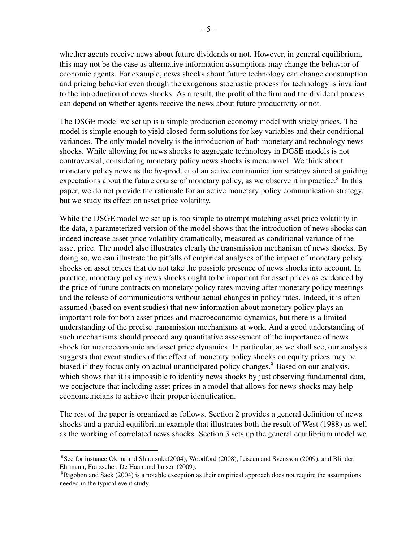whether agents receive news about future dividends or not. However, in general equilibrium, this may not be the case as alternative information assumptions may change the behavior of economic agents. For example, news shocks about future technology can change consumption and pricing behavior even though the exogenous stochastic process for technology is invariant to the introduction of news shocks. As a result, the profit of the firm and the dividend process can depend on whether agents receive the news about future productivity or not.

The DSGE model we set up is a simple production economy model with sticky prices. The model is simple enough to yield closed-form solutions for key variables and their conditional variances. The only model novelty is the introduction of both monetary and technology news shocks. While allowing for news shocks to aggregate technology in DGSE models is not controversial, considering monetary policy news shocks is more novel. We think about monetary policy news as the by-product of an active communication strategy aimed at guiding expectations about the future course of monetary policy, as we observe it in practice.<sup>8</sup> In this paper, we do not provide the rationale for an active monetary policy communication strategy, but we study its effect on asset price volatility.

While the DSGE model we set up is too simple to attempt matching asset price volatility in the data, a parameterized version of the model shows that the introduction of news shocks can indeed increase asset price volatility dramatically, measured as conditional variance of the asset price. The model also illustrates clearly the transmission mechanism of news shocks. By doing so, we can illustrate the pitfalls of empirical analyses of the impact of monetary policy shocks on asset prices that do not take the possible presence of news shocks into account. In practice, monetary policy news shocks ought to be important for asset prices as evidenced by the price of future contracts on monetary policy rates moving after monetary policy meetings and the release of communications without actual changes in policy rates. Indeed, it is often assumed (based on event studies) that new information about monetary policy plays an important role for both asset prices and macroeconomic dynamics, but there is a limited understanding of the precise transmission mechanisms at work. And a good understanding of such mechanisms should proceed any quantitative assessment of the importance of news shock for macroeconomic and asset price dynamics. In particular, as we shall see, our analysis suggests that event studies of the effect of monetary policy shocks on equity prices may be biased if they focus only on actual unanticipated policy changes.<sup>9</sup> Based on our analysis, which shows that it is impossible to identify news shocks by just observing fundamental data, we conjecture that including asset prices in a model that allows for news shocks may help econometricians to achieve their proper identification.

The rest of the paper is organized as follows. Section 2 provides a general definition of news shocks and a partial equilibrium example that illustrates both the result of West (1988) as well as the working of correlated news shocks. Section 3 sets up the general equilibrium model we

<sup>8</sup>See for instance Okina and Shiratsuka(2004), Woodford (2008), Laseen and Svensson (2009), and Blinder, Ehrmann, Fratzscher, De Haan and Jansen (2009).

<sup>9</sup>Rigobon and Sack (2004) is a notable exception as their empirical approach does not require the assumptions needed in the typical event study.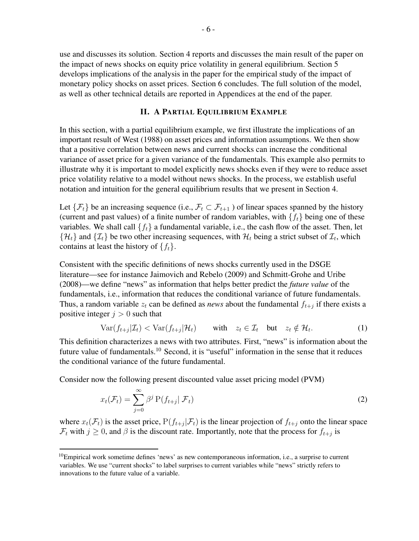use and discusses its solution. Section 4 reports and discusses the main result of the paper on the impact of news shocks on equity price volatility in general equilibrium. Section 5 develops implications of the analysis in the paper for the empirical study of the impact of monetary policy shocks on asset prices. Section 6 concludes. The full solution of the model, as well as other technical details are reported in Appendices at the end of the paper.

#### II. A PARTIAL EQUILIBRIUM EXAMPLE

In this section, with a partial equilibrium example, we first illustrate the implications of an important result of West (1988) on asset prices and information assumptions. We then show that a positive correlation between news and current shocks can increase the conditional variance of asset price for a given variance of the fundamentals. This example also permits to illustrate why it is important to model explicitly news shocks even if they were to reduce asset price volatility relative to a model without news shocks. In the process, we establish useful notation and intuition for the general equilibrium results that we present in Section 4.

Let  $\{\mathcal{F}_t\}$  be an increasing sequence (i.e.,  $\mathcal{F}_t \subset \mathcal{F}_{t+1}$ ) of linear spaces spanned by the history (current and past values) of a finite number of random variables, with  ${f_t}$  being one of these variables. We shall call  ${f_t}$  a fundamental variable, i.e., the cash flow of the asset. Then, let  $\{\mathcal{H}_t\}$  and  $\{\mathcal{I}_t\}$  be two other increasing sequences, with  $\mathcal{H}_t$  being a strict subset of  $\mathcal{I}_t$ , which contains at least the history of  $\{f_t\}$ .

Consistent with the specific definitions of news shocks currently used in the DSGE literature—see for instance Jaimovich and Rebelo (2009) and Schmitt-Grohe and Uribe (2008)—we define "news" as information that helps better predict the *future value* of the fundamentals, i.e., information that reduces the conditional variance of future fundamentals. Thus, a random variable  $z_t$  can be defined as *news* about the fundamental  $f_{t+j}$  if there exists a positive integer  $j > 0$  such that

$$
\text{Var}(f_{t+j}|\mathcal{I}_t) < \text{Var}(f_{t+j}|\mathcal{H}_t) \qquad \text{with} \quad z_t \in \mathcal{I}_t \quad \text{but} \quad z_t \notin \mathcal{H}_t. \tag{1}
$$

This definition characterizes a news with two attributes. First, "news" is information about the future value of fundamentals.<sup>10</sup> Second, it is "useful" information in the sense that it reduces the conditional variance of the future fundamental.

Consider now the following present discounted value asset pricing model (PVM)

$$
x_t(\mathcal{F}_t) = \sum_{j=0}^{\infty} \beta^j P(f_{t+j} | \mathcal{F}_t)
$$
 (2)

where  $x_t(\mathcal{F}_t)$  is the asset price,  $P(f_{t+j}|\mathcal{F}_t)$  is the linear projection of  $f_{t+j}$  onto the linear space  $\mathcal{F}_t$  with  $j \geq 0$ , and  $\beta$  is the discount rate. Importantly, note that the process for  $f_{t+j}$  is

<sup>&</sup>lt;sup>10</sup>Empirical work sometime defines 'news' as new contemporaneous information, i.e., a surprise to current variables. We use "current shocks" to label surprises to current variables while "news" strictly refers to innovations to the future value of a variable.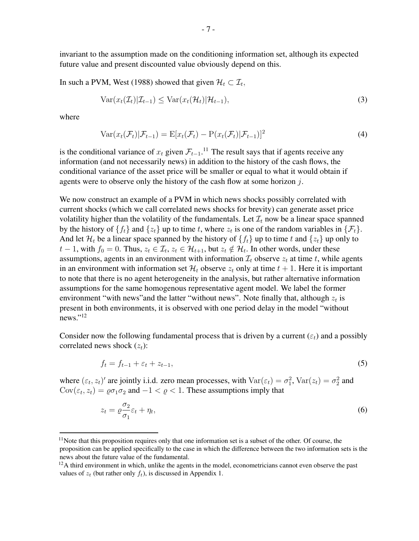invariant to the assumption made on the conditioning information set, although its expected future value and present discounted value obviously depend on this.

In such a PVM, West (1988) showed that given  $\mathcal{H}_t \subset \mathcal{I}_t$ ,

$$
\text{Var}(x_t(\mathcal{I}_t)|\mathcal{I}_{t-1}) \leq \text{Var}(x_t(\mathcal{H}_t)|\mathcal{H}_{t-1}),\tag{3}
$$

where

$$
\text{Var}(x_t(\mathcal{F}_t)|\mathcal{F}_{t-1}) = \text{E}[x_t(\mathcal{F}_t) - \text{P}(x_t(\mathcal{F}_t)|\mathcal{F}_{t-1})]^2
$$
\n(4)

is the conditional variance of  $x_t$  given  $\mathcal{F}_{t-1}$ .<sup>11</sup> The result says that if agents receive any information (and not necessarily news) in addition to the history of the cash flows, the conditional variance of the asset price will be smaller or equal to what it would obtain if agents were to observe only the history of the cash flow at some horizon *j*.

We now construct an example of a PVM in which news shocks possibly correlated with current shocks (which we call correlated news shocks for brevity) can generate asset price volatility higher than the volatility of the fundamentals. Let  $\mathcal{I}_t$  now be a linear space spanned by the history of  $\{f_t\}$  and  $\{z_t\}$  up to time *t*, where  $z_t$  is one of the random variables in  $\{\mathcal{F}_t\}$ . And let  $\mathcal{H}_t$  be a linear space spanned by the history of  $\{f_t\}$  up to time *t* and  $\{z_t\}$  up only to *t* − 1, with  $f_0 = 0$ . Thus,  $z_t \in \mathcal{I}_t$ ,  $z_t \in \mathcal{H}_{t+1}$ , but  $z_t \notin \mathcal{H}_t$ . In other words, under these assumptions, agents in an environment with information  $\mathcal{I}_t$  observe  $z_t$  at time  $t$ , while agents in an environment with information set  $\mathcal{H}_t$  observe  $z_t$  only at time  $t + 1$ . Here it is important to note that there is no agent heterogeneity in the analysis, but rather alternative information assumptions for the same homogenous representative agent model. We label the former environment "with news" and the latter "without news". Note finally that, although  $z_t$  is present in both environments, it is observed with one period delay in the model "without news."12

Consider now the following fundamental process that is driven by a current  $(\varepsilon_t)$  and a possibly correlated news shock (*zt*):

$$
f_t = f_{t-1} + \varepsilon_t + z_{t-1},
$$
\n(5)

where  $(\varepsilon_t, z_t)'$  are jointly i.i.d. zero mean processes, with  $\text{Var}(\varepsilon_t) = \sigma_1^2$ ,  $\text{Var}(z_t) = \sigma_2^2$  and  $Cov(\varepsilon_t, z_t) = \varrho \sigma_1 \sigma_2$  and  $-1 < \varrho < 1$ . These assumptions imply that

$$
z_t = \varrho \frac{\sigma_2}{\sigma_1} \varepsilon_t + \eta_t,\tag{6}
$$

<sup>&</sup>lt;sup>11</sup>Note that this proposition requires only that one information set is a subset of the other. Of course, the proposition can be applied specifically to the case in which the difference between the two information sets is the news about the future value of the fundamental.

 $12A$  third environment in which, unlike the agents in the model, econometricians cannot even observe the past values of  $z_t$  (but rather only  $f_t$ ), is discussed in Appendix 1.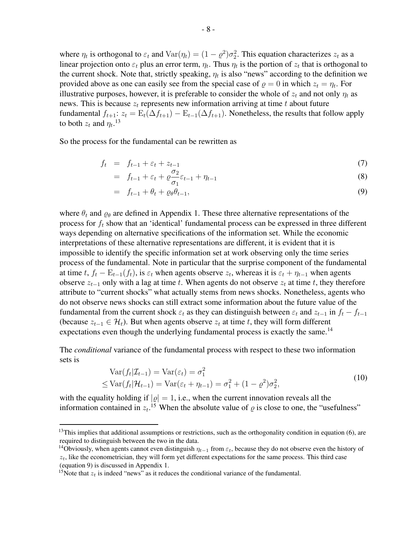where  $\eta_t$  is orthogonal to  $\varepsilon_t$  and  $\text{Var}(\eta_t) = (1 - \varrho^2)\sigma_2^2$ . This equation characterizes  $z_t$  as a linear projection onto  $\varepsilon_t$  plus an error term,  $\eta_t$ . Thus  $\eta_t$  is the portion of  $z_t$  that is orthogonal to the current shock. Note that, strictly speaking,  $\eta_t$  is also "news" according to the definition we provided above as one can easily see from the special case of  $\varrho = 0$  in which  $z_t = \eta_t$ . For illustrative purposes, however, it is preferable to consider the whole of  $z_t$  and not only  $\eta_t$  as news. This is because *z<sup>t</sup>* represents new information arriving at time *t* about future fundamental  $f_{t+1}: z_t = \mathbb{E}_t(\Delta f_{t+1}) - \mathbb{E}_{t-1}(\Delta f_{t+1})$ . Nonetheless, the results that follow apply to both  $z_t$  and  $\eta_t$ .<sup>13</sup>

So the process for the fundamental can be rewritten as

$$
f_t = f_{t-1} + \varepsilon_t + z_{t-1} \tag{7}
$$

$$
= f_{t-1} + \varepsilon_t + \varrho \frac{\sigma_2}{\sigma_1} \varepsilon_{t-1} + \eta_{t-1}
$$
\n(8)

$$
= f_{t-1} + \theta_t + \varrho_\theta \overline{\theta}_{t-1}, \tag{9}
$$

where  $\theta_t$  and  $\varrho_\theta$  are defined in Appendix 1. These three alternative representations of the process for *f<sup>t</sup>* show that an 'identical' fundamental process can be expressed in three different ways depending on alternative specifications of the information set. While the economic interpretations of these alternative representations are different, it is evident that it is impossible to identify the specific information set at work observing only the time series process of the fundamental. Note in particular that the surprise component of the fundamental at time *t*,  $f_t$  − E<sub>*t*−1</sub>( $f_t$ ), is  $\varepsilon_t$  when agents observe  $z_t$ , whereas it is  $\varepsilon_t + \eta_{t-1}$  when agents observe  $z_{t-1}$  only with a lag at time *t*. When agents do not observe  $z_t$  at time *t*, they therefore attribute to "current shocks" what actually stems from news shocks. Nonetheless, agents who do not observe news shocks can still extract some information about the future value of the fundamental from the current shock  $\varepsilon_t$  as they can distinguish between  $\varepsilon_t$  and  $z_{t-1}$  in  $f_t - f_{t-1}$ (because  $z_{t-1} \in \mathcal{H}_t$ ). But when agents observe  $z_t$  at time *t*, they will form different expectations even though the underlying fundamental process is exactly the same.<sup>14</sup>

The *conditional* variance of the fundamental process with respect to these two information sets is

$$
\begin{aligned} \text{Var}(f_t|\mathcal{I}_{t-1}) &= \text{Var}(\varepsilon_t) = \sigma_1^2\\ \leq \text{Var}(f_t|\mathcal{H}_{t-1}) &= \text{Var}(\varepsilon_t + \eta_{t-1}) = \sigma_1^2 + (1 - \varrho^2)\sigma_2^2, \end{aligned} \tag{10}
$$

with the equality holding if  $|\rho| = 1$ , i.e., when the current innovation reveals all the information contained in  $z_t$ <sup>15</sup>. When the absolute value of  $\varrho$  is close to one, the "usefulness"

 $13$ This implies that additional assumptions or restrictions, such as the orthogonality condition in equation (6), are required to distinguish between the two in the data.

<sup>&</sup>lt;sup>14</sup>Obviously, when agents cannot even distinguish  $\eta_{t-1}$  from  $\varepsilon_t$ , because they do not observe even the history of  $z_t$ , like the econometrician, they will form yet different expectations for the same process. This third case (equation 9) is discussed in Appendix 1.

<sup>&</sup>lt;sup>15</sup>Note that  $z_t$  is indeed "news" as it reduces the conditional variance of the fundamental.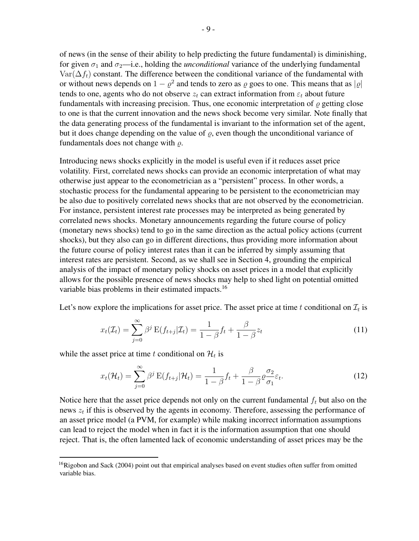of news (in the sense of their ability to help predicting the future fundamental) is diminishing, for given  $\sigma_1$  and  $\sigma_2$ —i.e., holding the *unconditional* variance of the underlying fundamental Var(∆*ft*) constant. The difference between the conditional variance of the fundamental with or without news depends on  $1 - \varrho^2$  and tends to zero as  $\varrho$  goes to one. This means that as  $|\varrho|$ tends to one, agents who do not observe  $z_t$  can extract information from  $\varepsilon_t$  about future fundamentals with increasing precision. Thus, one economic interpretation of  $\rho$  getting close to one is that the current innovation and the news shock become very similar. Note finally that the data generating process of the fundamental is invariant to the information set of the agent, but it does change depending on the value of  $\rho$ , even though the unconditional variance of fundamentals does not change with *ϱ*.

Introducing news shocks explicitly in the model is useful even if it reduces asset price volatility. First, correlated news shocks can provide an economic interpretation of what may otherwise just appear to the econometrician as a "persistent" process. In other words, a stochastic process for the fundamental appearing to be persistent to the econometrician may be also due to positively correlated news shocks that are not observed by the econometrician. For instance, persistent interest rate processes may be interpreted as being generated by correlated news shocks. Monetary announcements regarding the future course of policy (monetary news shocks) tend to go in the same direction as the actual policy actions (current shocks), but they also can go in different directions, thus providing more information about the future course of policy interest rates than it can be inferred by simply assuming that interest rates are persistent. Second, as we shall see in Section 4, grounding the empirical analysis of the impact of monetary policy shocks on asset prices in a model that explicitly allows for the possible presence of news shocks may help to shed light on potential omitted variable bias problems in their estimated impacts.<sup>16</sup>

Let's now explore the implications for asset price. The asset price at time  $t$  conditional on  $\mathcal{I}_t$  is

$$
x_t(\mathcal{I}_t) = \sum_{j=0}^{\infty} \beta^j \mathbf{E}(f_{t+j}|\mathcal{I}_t) = \frac{1}{1-\beta} f_t + \frac{\beta}{1-\beta} z_t \tag{11}
$$

while the asset price at time *t* conditional on  $\mathcal{H}_t$  is

$$
x_t(\mathcal{H}_t) = \sum_{j=0}^{\infty} \beta^j \mathbf{E}(f_{t+j}|\mathcal{H}_t) = \frac{1}{1-\beta} f_t + \frac{\beta}{1-\beta} \varrho \frac{\sigma_2}{\sigma_1} \varepsilon_t.
$$
 (12)

Notice here that the asset price depends not only on the current fundamental  $f_t$  but also on the news  $z_t$  if this is observed by the agents in economy. Therefore, assessing the performance of an asset price model (a PVM, for example) while making incorrect information assumptions can lead to reject the model when in fact it is the information assumption that one should reject. That is, the often lamented lack of economic understanding of asset prices may be the

<sup>&</sup>lt;sup>16</sup>Rigobon and Sack (2004) point out that empirical analyses based on event studies often suffer from omitted variable bias.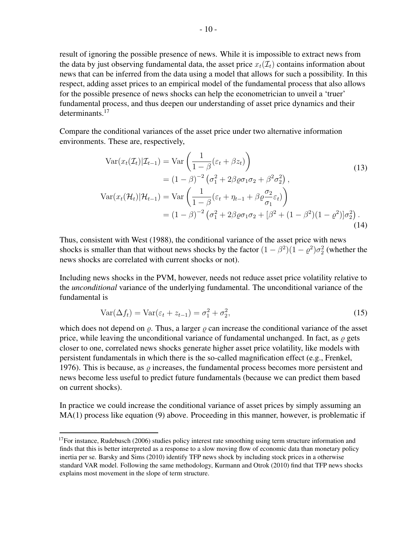result of ignoring the possible presence of news. While it is impossible to extract news from the data by just observing fundamental data, the asset price  $x_t(\mathcal{I}_t)$  contains information about news that can be inferred from the data using a model that allows for such a possibility. In this respect, adding asset prices to an empirical model of the fundamental process that also allows for the possible presence of news shocks can help the econometrician to unveil a 'truer' fundamental process, and thus deepen our understanding of asset price dynamics and their determinants.<sup>17</sup>

Compare the conditional variances of the asset price under two alternative information environments. These are, respectively,

$$
\operatorname{Var}(x_t(\mathcal{I}_t)|\mathcal{I}_{t-1}) = \operatorname{Var}\left(\frac{1}{1-\beta}(\varepsilon_t + \beta z_t)\right)
$$
  
\n
$$
= (1-\beta)^{-2} \left(\sigma_1^2 + 2\beta \varrho \sigma_1 \sigma_2 + \beta^2 \sigma_2^2\right),
$$
  
\n
$$
\operatorname{Var}(x_t(\mathcal{H}_t)|\mathcal{H}_{t-1}) = \operatorname{Var}\left(\frac{1}{1-\beta}(\varepsilon_t + \eta_{t-1} + \beta \varrho \frac{\sigma_2}{\sigma_1} \varepsilon_t)\right)
$$
  
\n
$$
= (1-\beta)^{-2} \left(\sigma_1^2 + 2\beta \varrho \sigma_1 \sigma_2 + [\beta^2 + (1-\beta^2)(1-\varrho^2)]\sigma_2^2\right).
$$
\n(14)

Thus, consistent with West (1988), the conditional variance of the asset price with news shocks is smaller than that without news shocks by the factor  $(1 - \beta^2)(1 - \varrho^2)\sigma_2^2$  (whether the news shocks are correlated with current shocks or not).

Including news shocks in the PVM, however, needs not reduce asset price volatility relative to the *unconditional* variance of the underlying fundamental. The unconditional variance of the fundamental is

$$
Var(\Delta f_t) = Var(\varepsilon_t + z_{t-1}) = \sigma_1^2 + \sigma_2^2,
$$
\n(15)

which does not depend on  $\rho$ . Thus, a larger  $\rho$  can increase the conditional variance of the asset price, while leaving the unconditional variance of fundamental unchanged. In fact, as  $\rho$  gets closer to one, correlated news shocks generate higher asset price volatility, like models with persistent fundamentals in which there is the so-called magnification effect (e.g., Frenkel, 1976). This is because, as *ϱ* increases, the fundamental process becomes more persistent and news become less useful to predict future fundamentals (because we can predict them based on current shocks).

In practice we could increase the conditional variance of asset prices by simply assuming an MA(1) process like equation (9) above. Proceeding in this manner, however, is problematic if

 $17$ For instance, Rudebusch (2006) studies policy interest rate smoothing using term structure information and finds that this is better interpreted as a response to a slow moving flow of economic data than monetary policy inertia per se. Barsky and Sims (2010) identify TFP news shock by including stock prices in a otherwise standard VAR model. Following the same methodology, Kurmann and Otrok (2010) find that TFP news shocks explains most movement in the slope of term structure.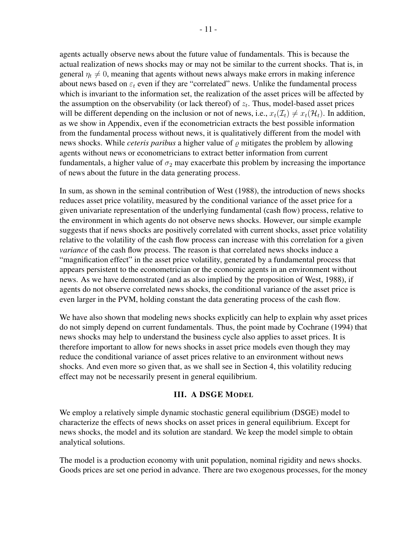agents actually observe news about the future value of fundamentals. This is because the actual realization of news shocks may or may not be similar to the current shocks. That is, in general  $\eta_t \neq 0$ , meaning that agents without news always make errors in making inference about news based on  $\varepsilon_t$  even if they are "correlated" news. Unlike the fundamental process which is invariant to the information set, the realization of the asset prices will be affected by the assumption on the observability (or lack thereof) of  $z_t$ . Thus, model-based asset prices will be different depending on the inclusion or not of news, i.e.,  $x_t(\mathcal{I}_t) \neq x_t(\mathcal{H}_t)$ . In addition, as we show in Appendix, even if the econometrician extracts the best possible information from the fundamental process without news, it is qualitatively different from the model with news shocks. While *ceteris paribus* a higher value of *ϱ* mitigates the problem by allowing agents without news or econometricians to extract better information from current fundamentals, a higher value of  $\sigma_2$  may exacerbate this problem by increasing the importance of news about the future in the data generating process.

In sum, as shown in the seminal contribution of West (1988), the introduction of news shocks reduces asset price volatility, measured by the conditional variance of the asset price for a given univariate representation of the underlying fundamental (cash flow) process, relative to the environment in which agents do not observe news shocks. However, our simple example suggests that if news shocks are positively correlated with current shocks, asset price volatility relative to the volatility of the cash flow process can increase with this correlation for a given *variance* of the cash flow process. The reason is that correlated news shocks induce a "magnification effect" in the asset price volatility, generated by a fundamental process that appears persistent to the econometrician or the economic agents in an environment without news. As we have demonstrated (and as also implied by the proposition of West, 1988), if agents do not observe correlated news shocks, the conditional variance of the asset price is even larger in the PVM, holding constant the data generating process of the cash flow.

We have also shown that modeling news shocks explicitly can help to explain why asset prices do not simply depend on current fundamentals. Thus, the point made by Cochrane (1994) that news shocks may help to understand the business cycle also applies to asset prices. It is therefore important to allow for news shocks in asset price models even though they may reduce the conditional variance of asset prices relative to an environment without news shocks. And even more so given that, as we shall see in Section 4, this volatility reducing effect may not be necessarily present in general equilibrium.

## III. A DSGE MODEL

We employ a relatively simple dynamic stochastic general equilibrium (DSGE) model to characterize the effects of news shocks on asset prices in general equilibrium. Except for news shocks, the model and its solution are standard. We keep the model simple to obtain analytical solutions.

The model is a production economy with unit population, nominal rigidity and news shocks. Goods prices are set one period in advance. There are two exogenous processes, for the money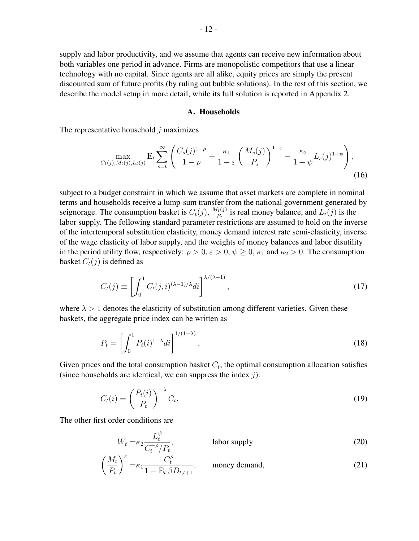supply and labor productivity, and we assume that agents can receive new information about both variables one period in advance. Firms are monopolistic competitors that use a linear technology with no capital. Since agents are all alike, equity prices are simply the present discounted sum of future profits (by ruling out bubble solutions). In the rest of this section, we describe the model setup in more detail, while its full solution is reported in Appendix 2.

#### A. Households

The representative household *j* maximizes

$$
\max_{C_t(j),M_t(j),L_t(j)} \mathcal{E}_t \sum_{s=t}^{\infty} \left( \frac{C_s(j)^{1-\rho}}{1-\rho} + \frac{\kappa_1}{1-\varepsilon} \left( \frac{M_s(j)}{P_s} \right)^{1-\varepsilon} - \frac{\kappa_2}{1+\psi} L_s(j)^{1+\psi} \right),\tag{16}
$$

subject to a budget constraint in which we assume that asset markets are complete in nominal terms and households receive a lump-sum transfer from the national government generated by seignorage. The consumption basket is  $C_t(j)$ ,  $\frac{M_t(j)}{P_t}$  $P_t^{(t)}(j)$  is real money balance, and  $L_t(j)$  is the labor supply. The following standard parameter restrictions are assumed to hold on the inverse of the intertemporal substitution elasticity, money demand interest rate semi-elasticity, inverse of the wage elasticity of labor supply, and the weights of money balances and labor disutility in the period utility flow, respectively:  $\rho > 0$ ,  $\varepsilon > 0$ ,  $\psi \ge 0$ ,  $\kappa_1$  and  $\kappa_2 > 0$ . The consumption basket  $C_t(j)$  is defined as

$$
C_t(j) \equiv \left[ \int_0^1 C_t(j,i)^{(\lambda - 1)/\lambda} di \right]^{\lambda/(\lambda - 1)}, \tag{17}
$$

where  $\lambda > 1$  denotes the elasticity of substitution among different varieties. Given these baskets, the aggregate price index can be written as

$$
P_t = \left[ \int_0^1 P_t(i)^{1-\lambda} di \right]^{1/(1-\lambda)}, \qquad (18)
$$

Given prices and the total consumption basket  $C_t$ , the optimal consumption allocation satisfies (since households are identical, we can suppress the index *j*):

$$
C_t(i) = \left(\frac{P_t(i)}{P_t}\right)^{-\lambda} C_t.
$$
\n(19)

The other first order conditions are

$$
W_t = \kappa_2 \frac{L_t^{\psi}}{C_t^{-\rho}/P_t},
$$
 labor supply  

$$
\left(\frac{M_t}{P_t}\right)^{\varepsilon} = \kappa_1 \frac{C_t^{\rho}}{1 - \mathcal{E}_t \beta D_{t,t+1}},
$$
 money demand, (21)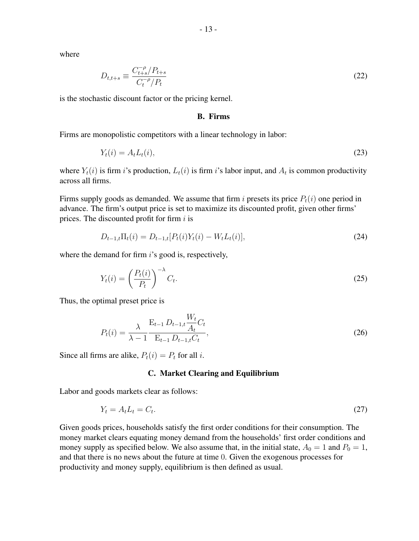where

$$
D_{t,t+s} \equiv \frac{C_{t+s}^{-\rho}/P_{t+s}}{C_t^{-\rho}/P_t} \tag{22}
$$

is the stochastic discount factor or the pricing kernel.

#### B. Firms

Firms are monopolistic competitors with a linear technology in labor:

$$
Y_t(i) = A_t L_t(i),\tag{23}
$$

where  $Y_t(i)$  is firm *i*'s production,  $L_t(i)$  is firm *i*'s labor input, and  $A_t$  is common productivity across all firms.

Firms supply goods as demanded. We assume that firm *i* presets its price *Pt*(*i*) one period in advance. The firm's output price is set to maximize its discounted profit, given other firms' prices. The discounted profit for firm *i* is

$$
D_{t-1,t} \Pi_t(i) = D_{t-1,t}[P_t(i)Y_t(i) - W_t L_t(i)],
$$
\n(24)

where the demand for firm *i*'s good is, respectively,

$$
Y_t(i) = \left(\frac{P_t(i)}{P_t}\right)^{-\lambda} C_t.
$$
\n(25)

Thus, the optimal preset price is

$$
P_t(i) = \frac{\lambda}{\lambda - 1} \frac{\mathbf{E}_{t-1} D_{t-1,t} \frac{W_t}{A_t} C_t}{\mathbf{E}_{t-1} D_{t-1,t} C_t},
$$
\n(26)

Since all firms are alike,  $P_t(i) = P_t$  for all *i*.

## C. Market Clearing and Equilibrium

Labor and goods markets clear as follows:

$$
Y_t = A_t L_t = C_t. \tag{27}
$$

Given goods prices, households satisfy the first order conditions for their consumption. The money market clears equating money demand from the households' first order conditions and money supply as specified below. We also assume that, in the initial state,  $A_0 = 1$  and  $P_0 = 1$ , and that there is no news about the future at time 0. Given the exogenous processes for productivity and money supply, equilibrium is then defined as usual.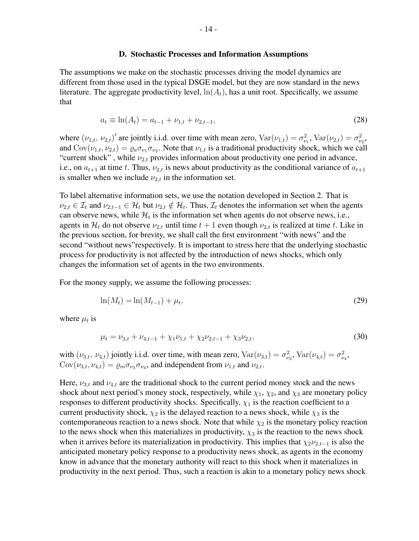#### D. Stochastic Processes and Information Assumptions

The assumptions we make on the stochastic processes driving the model dynamics are different from those used in the typical DSGE model, but they are now standard in the news literature. The aggregate productivity level,  $ln(A_t)$ , has a unit root. Specifically, we assume that

$$
a_t \equiv \ln(A_t) = a_{t-1} + \nu_{1,t} + \nu_{2,t-1},\tag{28}
$$

where  $(\nu_{1,t}, \nu_{2,t})'$  are jointly i.i.d. over time with mean zero,  $Var(\nu_{1,t}) = \sigma_{\nu_1}^2$ ,  $Var(\nu_{2,t}) = \sigma_{\nu_2}^2$ , and  $Cov(\nu_{1,t}, \nu_{2,t}) = \varrho_a \sigma_{\nu_1} \sigma_{\nu_2}$ . Note that  $\nu_{1,t}$  is a traditional productivity shock, which we call "current shock", while  $\nu_{2,t}$  provides information about productivity one period in advance, i.e., on  $a_{t+1}$  at time *t*. Thus,  $\nu_{2,t}$  is news about productivity as the conditional variance of  $a_{t+1}$ is smaller when we include  $\nu_{2,t}$  in the information set.

To label alternative information sets, we use the notation developed in Section 2. That is  $\nu_{2,t} \in \mathcal{I}_t$  and  $\nu_{2,t-1} \in \mathcal{H}_t$  but  $\nu_{2,t} \notin \mathcal{H}_t$ . Thus,  $\mathcal{I}_t$  denotes the information set when the agents can observe news, while  $\mathcal{H}_t$  is the information set when agents do not observe news, i.e., agents in  $\mathcal{H}_t$  do not observe  $\nu_{2,t}$  until time  $t + 1$  even though  $\nu_{2,t}$  is realized at time *t*. Like in the previous section, for brevity, we shall call the first environment "with news" and the second "without news"respectively. It is important to stress here that the underlying stochastic process for productivity is not affected by the introduction of news shocks, which only changes the information set of agents in the two environments.

For the money supply, we assume the following processes:

$$
\ln(M_t) = \ln(M_{t-1}) + \mu_t,\tag{29}
$$

where  $\mu_t$  is

$$
\mu_t = \nu_{3,t} + \nu_{4,t-1} + \chi_1 \nu_{1,t} + \chi_2 \nu_{2,t-1} + \chi_3 \nu_{2,t}, \tag{30}
$$

with  $(\nu_{3,t}, \nu_{4,t})$  jointly i.i.d. over time, with mean zero,  $Var(\nu_{3,t}) = \sigma_{\nu_3}^2$ ,  $Var(\nu_{4,t}) = \sigma_{\nu_4}^2$ ,  $Cov(\nu_{3,t}, \nu_{4,t}) = \varrho_m \sigma_{\nu_3} \sigma_{\nu_4}$ , and independent from  $\nu_{1,t}$  and  $\nu_{2,t}$ .

Here,  $\nu_{3,t}$  and  $\nu_{4,t}$  are the traditional shock to the current period money stock and the news shock about next period's money stock, respectively, while  $\chi_1$ ,  $\chi_2$ , and  $\chi_3$  are monetary policy responses to different productivity shocks. Specifically,  $\chi_1$  is the reaction coefficient to a current productivity shock,  $\chi_2$  is the delayed reaction to a news shock, while  $\chi_3$  is the contemporaneous reaction to a news shock. Note that while  $\chi_2$  is the monetary policy reaction to the news shock when this materializes in productivity,  $\chi_3$  is the reaction to the news shock when it arrives before its materialization in productivity. This implies that  $\chi_2 \nu_{2,t-1}$  is also the anticipated monetary policy response to a productivity news shock, as agents in the economy know in advance that the monetary authority will react to this shock when it materializes in productivity in the next period. Thus, such a reaction is akin to a monetary policy news shock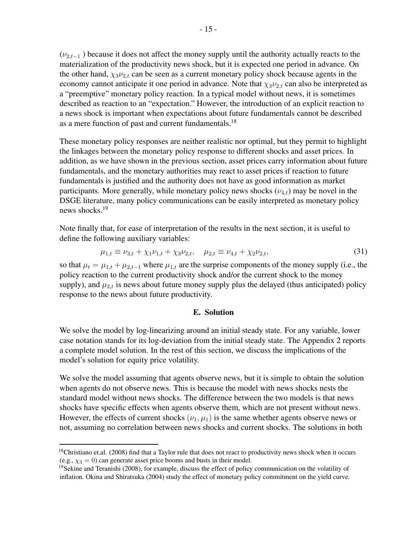$(\nu_{2,t-1})$  because it does not affect the money supply until the authority actually reacts to the materialization of the productivity news shock, but it is expected one period in advance. On the other hand,  $\chi_3 \nu_{2,t}$  can be seen as a current monetary policy shock because agents in the economy cannot anticipate it one period in advance. Note that  $\chi_3 \nu_{2,t}$  can also be interpreted as a "preemptive" monetary policy reaction. In a typical model without news, it is sometimes described as reaction to an "expectation." However, the introduction of an explicit reaction to a news shock is important when expectations about future fundamentals cannot be described as a mere function of past and current fundamentals.<sup>18</sup>

These monetary policy responses are neither realistic nor optimal, but they permit to highlight the linkages between the monetary policy response to different shocks and asset prices. In addition, as we have shown in the previous section, asset prices carry information about future fundamentals, and the monetary authorities may react to asset prices if reaction to future fundamentals is justified and the authority does not have as good information as market participants. More generally, while monetary policy news shocks  $(\nu_{4,t})$  may be novel in the DSGE literature, many policy communications can be easily interpreted as monetary policy news shocks.<sup>19</sup>

Note finally that, for ease of interpretation of the results in the next section, it is useful to define the following auxiliary variables:

$$
\mu_{1,t} \equiv \nu_{3,t} + \chi_1 \nu_{1,t} + \chi_3 \nu_{2,t}, \quad \mu_{2,t} \equiv \nu_{4,t} + \chi_2 \nu_{2,t}, \tag{31}
$$

so that  $\mu_t = \mu_{1,t} + \mu_{2,t-1}$  where  $\mu_{1,t}$  are the surprise components of the money supply (i.e., the policy reaction to the current productivity shock and/or the current shock to the money supply), and  $\mu_{2,t}$  is news about future money supply plus the delayed (thus anticipated) policy response to the news about future productivity.

## E. Solution

We solve the model by log-linearizing around an initial steady state. For any variable, lower case notation stands for its log-deviation from the initial steady state. The Appendix 2 reports a complete model solution. In the rest of this section, we discuss the implications of the model's solution for equity price volatility.

We solve the model assuming that agents observe news, but it is simple to obtain the solution when agents do not observe news. This is because the model with news shocks nests the standard model without news shocks. The difference between the two models is that news shocks have specific effects when agents observe them, which are not present without news. However, the effects of current shocks  $(\nu_1, \mu_1)$  is the same whether agents observe news or not, assuming no correlation between news shocks and current shocks. The solutions in both

<sup>&</sup>lt;sup>18</sup>Christiano et.al. (2008) find that a Taylor rule that does not react to productivity news shock when it occurs (e.g.,  $\chi_3 = 0$ ) can generate asset price booms and busts in their model.

<sup>&</sup>lt;sup>19</sup>Sekine and Teranishi (2008), for example, discuss the effect of policy communication on the volatility of inflation. Okina and Shiratsuka (2004) study the effect of monetary policy commitment on the yield curve.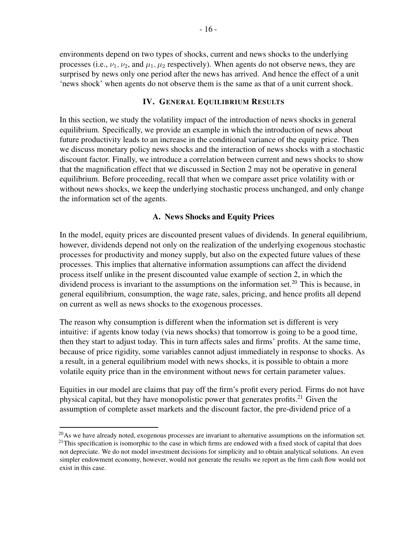environments depend on two types of shocks, current and news shocks to the underlying processes (i.e.,  $\nu_1, \nu_2$ , and  $\mu_1, \mu_2$  respectively). When agents do not observe news, they are surprised by news only one period after the news has arrived. And hence the effect of a unit 'news shock' when agents do not observe them is the same as that of a unit current shock.

## IV. GENERAL EQUILIBRIUM RESULTS

In this section, we study the volatility impact of the introduction of news shocks in general equilibrium. Specifically, we provide an example in which the introduction of news about future productivity leads to an increase in the conditional variance of the equity price. Then we discuss monetary policy news shocks and the interaction of news shocks with a stochastic discount factor. Finally, we introduce a correlation between current and news shocks to show that the magnification effect that we discussed in Section 2 may not be operative in general equilibrium. Before proceeding, recall that when we compare asset price volatility with or without news shocks, we keep the underlying stochastic process unchanged, and only change the information set of the agents.

## A. News Shocks and Equity Prices

In the model, equity prices are discounted present values of dividends. In general equilibrium, however, dividends depend not only on the realization of the underlying exogenous stochastic processes for productivity and money supply, but also on the expected future values of these processes. This implies that alternative information assumptions can affect the dividend process itself unlike in the present discounted value example of section 2, in which the dividend process is invariant to the assumptions on the information set.<sup>20</sup> This is because, in general equilibrium, consumption, the wage rate, sales, pricing, and hence profits all depend on current as well as news shocks to the exogenous processes.

The reason why consumption is different when the information set is different is very intuitive: if agents know today (via news shocks) that tomorrow is going to be a good time, then they start to adjust today. This in turn affects sales and firms' profits. At the same time, because of price rigidity, some variables cannot adjust immediately in response to shocks. As a result, in a general equilibrium model with news shocks, it is possible to obtain a more volatile equity price than in the environment without news for certain parameter values.

Equities in our model are claims that pay off the firm's profit every period. Firms do not have physical capital, but they have monopolistic power that generates profits.<sup>21</sup> Given the assumption of complete asset markets and the discount factor, the pre-dividend price of a

 $^{20}$ As we have already noted, exogenous processes are invariant to alternative assumptions on the information set.  $21$ This specification is isomorphic to the case in which firms are endowed with a fixed stock of capital that does not depreciate. We do not model investment decisions for simplicity and to obtain analytical solutions. An even simpler endowment economy, however, would not generate the results we report as the firm cash flow would not exist in this case.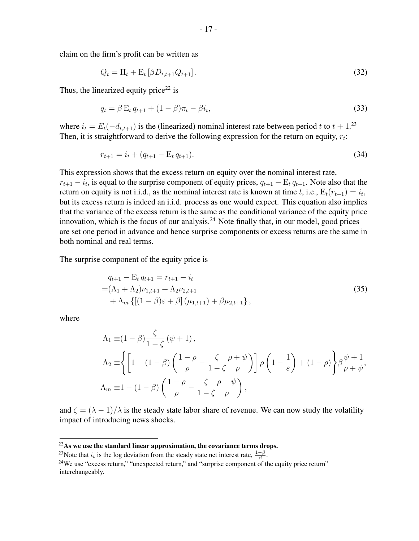claim on the firm's profit can be written as

$$
Q_t = \Pi_t + \mathcal{E}_t \left[ \beta D_{t,t+1} Q_{t+1} \right]. \tag{32}
$$

Thus, the linearized equity price<sup>22</sup> is

$$
q_t = \beta \, \mathcal{E}_t \, q_{t+1} + (1 - \beta) \pi_t - \beta i_t,\tag{33}
$$

where  $i_t = E_t(-d_{t,t+1})$  is the (linearized) nominal interest rate between period t to  $t + 1$ .<sup>23</sup> Then, it is straightforward to derive the following expression for the return on equity, *r<sup>t</sup>* :

$$
r_{t+1} = i_t + (q_{t+1} - \mathbf{E}_t q_{t+1}).
$$
\n(34)

This expression shows that the excess return on equity over the nominal interest rate,  $r_{t+1} - i_t$ , is equal to the surprise component of equity prices,  $q_{t+1} - \mathrm{E}_t q_{t+1}$ . Note also that the return on equity is not i.i.d., as the nominal interest rate is known at time *t*, i.e.,  $E_t(r_{t+1}) = i_t$ , but its excess return is indeed an i.i.d. process as one would expect. This equation also implies that the variance of the excess return is the same as the conditional variance of the equity price innovation, which is the focus of our analysis. $24$  Note finally that, in our model, good prices are set one period in advance and hence surprise components or excess returns are the same in both nominal and real terms.

The surprise component of the equity price is

$$
q_{t+1} - \mathcal{E}_t q_{t+1} = r_{t+1} - i_t
$$
  
=  $(\Lambda_1 + \Lambda_2)\nu_{1,t+1} + \Lambda_2\nu_{2,t+1}$   
+  $\Lambda_m \{[(1-\beta)\varepsilon + \beta](\mu_{1,t+1}) + \beta\mu_{2,t+1}\},$  (35)

where

$$
\Lambda_1 \equiv (1 - \beta) \frac{\zeta}{1 - \zeta} (\psi + 1),
$$
\n
$$
\Lambda_2 \equiv \left\{ \left[ 1 + (1 - \beta) \left( \frac{1 - \rho}{\rho} - \frac{\zeta}{1 - \zeta} \frac{\rho + \psi}{\rho} \right) \right] \rho \left( 1 - \frac{1}{\varepsilon} \right) + (1 - \rho) \right\} \beta \frac{\psi + 1}{\rho + \psi},
$$
\n
$$
\Lambda_m \equiv 1 + (1 - \beta) \left( \frac{1 - \rho}{\rho} - \frac{\zeta}{1 - \zeta} \frac{\rho + \psi}{\rho} \right),
$$

and  $\zeta = (\lambda - 1)/\lambda$  is the steady state labor share of revenue. We can now study the volatility impact of introducing news shocks.

 $^{22}$ As we use the standard linear approximation, the covariance terms drops.

<sup>&</sup>lt;sup>23</sup>Note that  $i_t$  is the log deviation from the steady state net interest rate,  $\frac{1-\beta}{\beta}$ .

<sup>&</sup>lt;sup>24</sup>We use "excess return," "unexpected return," and "surprise component of the equity price return" interchangeably.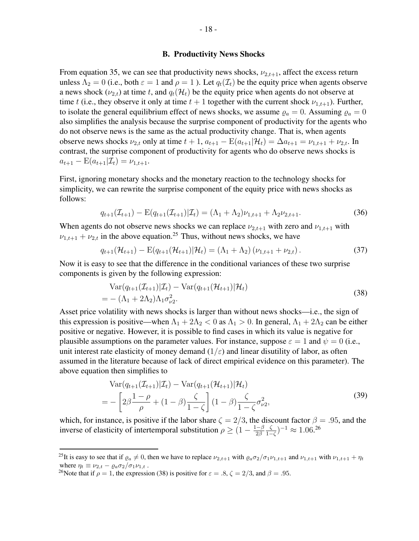#### B. Productivity News Shocks

From equation 35, we can see that productivity news shocks,  $\nu_{2,t+1}$ , affect the excess return unless  $\Lambda_2 = 0$  (i.e., both  $\varepsilon = 1$  and  $\rho = 1$ ). Let  $q_t(\mathcal{I}_t)$  be the equity price when agents observe a news shock  $(\nu_{2,t})$  at time *t*, and  $q_t(\mathcal{H}_t)$  be the equity price when agents do not observe at time *t* (i.e., they observe it only at time  $t + 1$  together with the current shock  $\nu_{1,t+1}$ ). Further, to isolate the general equilibrium effect of news shocks, we assume  $\varrho_a = 0$ . Assuming  $\varrho_a = 0$ also simplifies the analysis because the surprise component of productivity for the agents who do not observe news is the same as the actual productivity change. That is, when agents observe news shocks  $\nu_{2,t}$  only at time  $t + 1$ ,  $a_{t+1} - \mathbb{E}(a_{t+1}|\mathcal{H}_t) = \Delta a_{t+1} = \nu_{1,t+1} + \nu_{2,t}$ . In contrast, the surprise component of productivity for agents who do observe news shocks is  $a_{t+1} - \mathbf{E}(a_{t+1}|\mathcal{I}_t) = \nu_{1,t+1}.$ 

First, ignoring monetary shocks and the monetary reaction to the technology shocks for simplicity, we can rewrite the surprise component of the equity price with news shocks as follows:

$$
q_{t+1}(\mathcal{I}_{t+1}) - \mathcal{E}(q_{t+1}(\mathcal{I}_{t+1})|\mathcal{I}_t) = (\Lambda_1 + \Lambda_2)\nu_{1,t+1} + \Lambda_2\nu_{2,t+1}.
$$
\n(36)

When agents do not observe news shocks we can replace  $\nu_{2,t+1}$  with zero and  $\nu_{1,t+1}$  with  $v_{1,t+1} + v_{2,t}$  in the above equation.<sup>25</sup> Thus, without news shocks, we have

$$
q_{t+1}(\mathcal{H}_{t+1}) - \mathcal{E}(q_{t+1}(\mathcal{H}_{t+1})|\mathcal{H}_t) = (\Lambda_1 + \Lambda_2) (\nu_{1,t+1} + \nu_{2,t}). \tag{37}
$$

Now it is easy to see that the difference in the conditional variances of these two surprise components is given by the following expression:

$$
\begin{aligned} \text{Var}(q_{t+1}(\mathcal{I}_{t+1})|\mathcal{I}_t) - \text{Var}(q_{t+1}(\mathcal{H}_{t+1})|\mathcal{H}_t) \\ = -(\Lambda_1 + 2\Lambda_2)\Lambda_1 \sigma_{\nu 2}^2. \end{aligned} \tag{38}
$$

Asset price volatility with news shocks is larger than without news shocks—i.e., the sign of this expression is positive—when  $\Lambda_1 + 2\Lambda_2 < 0$  as  $\Lambda_1 > 0$ . In general,  $\Lambda_1 + 2\Lambda_2$  can be either positive or negative. However, it is possible to find cases in which its value is negative for plausible assumptions on the parameter values. For instance, suppose  $\varepsilon = 1$  and  $\psi = 0$  (i.e., unit interest rate elasticity of money demand  $(1/\varepsilon)$  and linear disutility of labor, as often assumed in the literature because of lack of direct empirical evidence on this parameter). The above equation then simplifies to

$$
\begin{split} \text{Var}(q_{t+1}(\mathcal{I}_{t+1})|\mathcal{I}_{t}) - \text{Var}(q_{t+1}(\mathcal{H}_{t+1})|\mathcal{H}_{t}) \\ = & - \left[ 2\beta \frac{1-\rho}{\rho} + (1-\beta) \frac{\zeta}{1-\zeta} \right] (1-\beta) \frac{\zeta}{1-\zeta} \sigma_{\nu 2}^{2}, \end{split} \tag{39}
$$

which, for instance, is positive if the labor share  $\zeta = 2/3$ , the discount factor  $\beta = .95$ , and the inverse of elasticity of intertemporal substitution  $\rho \geq (1 - \frac{1 - \beta}{2\beta})$ *ζ*  $\frac{\zeta}{1-\zeta}$ <sup>-1</sup> ≈ 1.06.<sup>26</sup>

<sup>&</sup>lt;sup>25</sup>It is easy to see that if  $\varrho_a \neq 0$ , then we have to replace  $\nu_{2,t+1}$  with  $\varrho_a \sigma_2/\sigma_1 \nu_{1,t+1}$  and  $\nu_{1,t+1}$  with  $\nu_{1,t+1} + \eta_t$ where  $\eta_t \equiv \nu_{2,t} - \varrho_a \sigma_2 / \sigma_1 \nu_{1,t}$ .

<sup>&</sup>lt;sup>26</sup>Note that if  $\rho = 1$ , the expression (38) is positive for  $\varepsilon = .8$ ,  $\zeta = 2/3$ , and  $\beta = .95$ .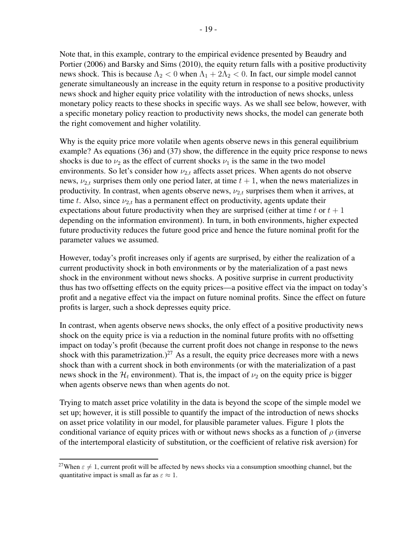Note that, in this example, contrary to the empirical evidence presented by Beaudry and Portier (2006) and Barsky and Sims (2010), the equity return falls with a positive productivity news shock. This is because  $\Lambda_2 < 0$  when  $\Lambda_1 + 2\Lambda_2 < 0$ . In fact, our simple model cannot generate simultaneously an increase in the equity return in response to a positive productivity news shock and higher equity price volatility with the introduction of news shocks, unless monetary policy reacts to these shocks in specific ways. As we shall see below, however, with a specific monetary policy reaction to productivity news shocks, the model can generate both the right comovement and higher volatility.

Why is the equity price more volatile when agents observe news in this general equilibrium example? As equations (36) and (37) show, the difference in the equity price response to news shocks is due to  $\nu_2$  as the effect of current shocks  $\nu_1$  is the same in the two model environments. So let's consider how *ν*<sub>2*,t*</sub> affects asset prices. When agents do not observe news,  $\nu_{2,t}$  surprises them only one period later, at time  $t + 1$ , when the news materializes in productivity. In contrast, when agents observe news,  $\nu_{2,t}$  surprises them when it arrives, at time *t*. Also, since  $\nu_{2,t}$  has a permanent effect on productivity, agents update their expectations about future productivity when they are surprised (either at time  $t$  or  $t + 1$ ) depending on the information environment). In turn, in both environments, higher expected future productivity reduces the future good price and hence the future nominal profit for the parameter values we assumed.

However, today's profit increases only if agents are surprised, by either the realization of a current productivity shock in both environments or by the materialization of a past news shock in the environment without news shocks. A positive surprise in current productivity thus has two offsetting effects on the equity prices—a positive effect via the impact on today's profit and a negative effect via the impact on future nominal profits. Since the effect on future profits is larger, such a shock depresses equity price.

In contrast, when agents observe news shocks, the only effect of a positive productivity news shock on the equity price is via a reduction in the nominal future profits with no offsetting impact on today's profit (because the current profit does not change in response to the news shock with this parametrization.)<sup>27</sup> As a result, the equity price decreases more with a news shock than with a current shock in both environments (or with the materialization of a past news shock in the  $\mathcal{H}_t$  environment). That is, the impact of  $\nu_2$  on the equity price is bigger when agents observe news than when agents do not.

Trying to match asset price volatility in the data is beyond the scope of the simple model we set up; however, it is still possible to quantify the impact of the introduction of news shocks on asset price volatility in our model, for plausible parameter values. Figure 1 plots the conditional variance of equity prices with or without news shocks as a function of *ρ* (inverse of the intertemporal elasticity of substitution, or the coefficient of relative risk aversion) for

<sup>&</sup>lt;sup>27</sup>When  $\varepsilon \neq 1$ , current profit will be affected by news shocks via a consumption smoothing channel, but the quantitative impact is small as far as  $\varepsilon \approx 1$ .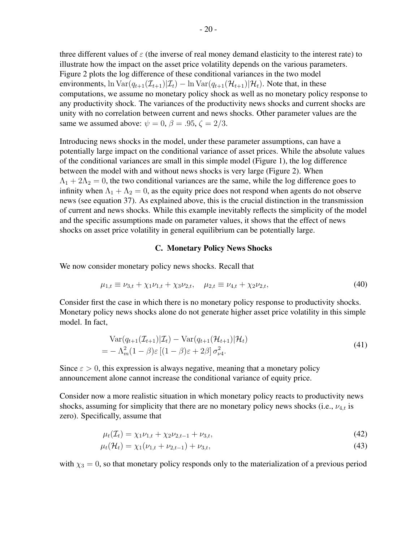three different values of *ε* (the inverse of real money demand elasticity to the interest rate) to illustrate how the impact on the asset price volatility depends on the various parameters. Figure 2 plots the log difference of these conditional variances in the two model environments,  $\ln \text{Var}(q_{t+1}(\mathcal{I}_{t+1})|\mathcal{I}_t) - \ln \text{Var}(q_{t+1}(\mathcal{H}_{t+1})|\mathcal{H}_t)$ . Note that, in these computations, we assume no monetary policy shock as well as no monetary policy response to any productivity shock. The variances of the productivity news shocks and current shocks are unity with no correlation between current and news shocks. Other parameter values are the same we assumed above:  $\psi = 0$ ,  $\beta = .95$ ,  $\zeta = 2/3$ .

Introducing news shocks in the model, under these parameter assumptions, can have a potentially large impact on the conditional variance of asset prices. While the absolute values of the conditional variances are small in this simple model (Figure 1), the log difference between the model with and without news shocks is very large (Figure 2). When  $\Lambda_1 + 2\Lambda_2 = 0$ , the two conditional variances are the same, while the log difference goes to infinity when  $\Lambda_1 + \Lambda_2 = 0$ , as the equity price does not respond when agents do not observe news (see equation 37). As explained above, this is the crucial distinction in the transmission of current and news shocks. While this example inevitably reflects the simplicity of the model and the specific assumptions made on parameter values, it shows that the effect of news shocks on asset price volatility in general equilibrium can be potentially large.

#### C. Monetary Policy News Shocks

We now consider monetary policy news shocks. Recall that

$$
\mu_{1,t} \equiv \nu_{3,t} + \chi_1 \nu_{1,t} + \chi_3 \nu_{2,t}, \quad \mu_{2,t} \equiv \nu_{4,t} + \chi_2 \nu_{2,t}, \tag{40}
$$

Consider first the case in which there is no monetary policy response to productivity shocks. Monetary policy news shocks alone do not generate higher asset price volatility in this simple model. In fact,

$$
\begin{aligned} \text{Var}(q_{t+1}(\mathcal{I}_{t+1})|\mathcal{I}_t) - \text{Var}(q_{t+1}(\mathcal{H}_{t+1})|\mathcal{H}_t) \\ = -\Lambda_m^2 (1-\beta)\varepsilon \left[ (1-\beta)\varepsilon + 2\beta \right] \sigma_{\nu 4}^2. \end{aligned} \tag{41}
$$

Since  $\varepsilon > 0$ , this expression is always negative, meaning that a monetary policy announcement alone cannot increase the conditional variance of equity price.

Consider now a more realistic situation in which monetary policy reacts to productivity news shocks, assuming for simplicity that there are no monetary policy news shocks (i.e., *ν*4*,t* is zero). Specifically, assume that

$$
\mu_t(\mathcal{I}_t) = \chi_1 \nu_{1,t} + \chi_2 \nu_{2,t-1} + \nu_{3,t},\tag{42}
$$

$$
\mu_t(\mathcal{H}_t) = \chi_1(\nu_{1,t} + \nu_{2,t-1}) + \nu_{3,t},\tag{43}
$$

with  $\chi_3 = 0$ , so that monetary policy responds only to the materialization of a previous period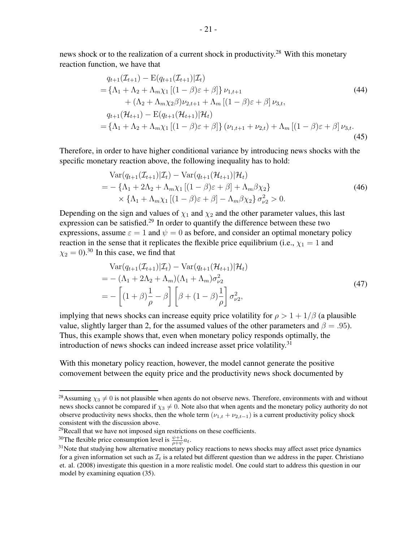news shock or to the realization of a current shock in productivity.<sup>28</sup> With this monetary reaction function, we have that

$$
q_{t+1}(\mathcal{I}_{t+1}) - \mathcal{E}(q_{t+1}(\mathcal{I}_{t+1})|\mathcal{I}_t)
$$
  
\n
$$
= {\Lambda_1 + \Lambda_2 + \Lambda_m \chi_1 [(1 - \beta)\varepsilon + \beta]} \nu_{1,t+1}
$$
  
\n
$$
+ (\Lambda_2 + \Lambda_m \chi_2 \beta) \nu_{2,t+1} + \Lambda_m [(1 - \beta)\varepsilon + \beta] \nu_{3,t},
$$
  
\n
$$
q_{t+1}(\mathcal{H}_{t+1}) - \mathcal{E}(q_{t+1}(\mathcal{H}_{t+1})|\mathcal{H}_t)
$$
  
\n
$$
= {\Lambda_1 + \Lambda_2 + \Lambda_m \chi_1 [(1 - \beta)\varepsilon + \beta]} (\nu_{1,t+1} + \nu_{2,t}) + \Lambda_m [(1 - \beta)\varepsilon + \beta] \nu_{3,t}.
$$
\n(45)

Therefore, in order to have higher conditional variance by introducing news shocks with the specific monetary reaction above, the following inequality has to hold:

$$
\begin{split} \text{Var}(q_{t+1}(\mathcal{I}_{t+1})|\mathcal{I}_t) - \text{Var}(q_{t+1}(\mathcal{H}_{t+1})|\mathcal{H}_t) \\ &= -\left\{\Lambda_1 + 2\Lambda_2 + \Lambda_m \chi_1 \left[ (1-\beta)\varepsilon + \beta \right] + \Lambda_m \beta \chi_2 \right\} \\ &\times \left\{\Lambda_1 + \Lambda_m \chi_1 \left[ (1-\beta)\varepsilon + \beta \right] - \Lambda_m \beta \chi_2 \right\} \sigma_{\nu 2}^2 > 0. \end{split} \tag{46}
$$

Depending on the sign and values of  $\chi_1$  and  $\chi_2$  and the other parameter values, this last expression can be satisfied.<sup>29</sup> In order to quantify the difference between these two expressions, assume  $\varepsilon = 1$  and  $\psi = 0$  as before, and consider an optimal monetary policy reaction in the sense that it replicates the flexible price equilibrium (i.e.,  $\chi_1 = 1$  and  $\chi_2 = 0$ .<sup>30</sup> In this case, we find that

$$
\begin{split} &\text{Var}(q_{t+1}(\mathcal{I}_{t+1})|\mathcal{I}_{t}) - \text{Var}(q_{t+1}(\mathcal{H}_{t+1})|\mathcal{H}_{t}) \\ &= -(\Lambda_{1} + 2\Lambda_{2} + \Lambda_{m})(\Lambda_{1} + \Lambda_{m})\sigma_{\nu_{2}}^{2} \\ &= -\left[ (1+\beta)\frac{1}{\rho} - \beta \right] \left[ \beta + (1-\beta)\frac{1}{\rho} \right] \sigma_{\nu_{2}}^{2}, \end{split} \tag{47}
$$

implying that news shocks can increase equity price volatility for  $\rho > 1 + 1/\beta$  (a plausible value, slightly larger than 2, for the assumed values of the other parameters and  $\beta = .95$ ). Thus, this example shows that, even when monetary policy responds optimally, the introduction of news shocks can indeed increase asset price volatility.<sup>31</sup>

With this monetary policy reaction, however, the model cannot generate the positive comovement between the equity price and the productivity news shock documented by

<sup>&</sup>lt;sup>28</sup>Assuming  $\chi_3 \neq 0$  is not plausible when agents do not observe news. Therefore, environments with and without news shocks cannot be compared if  $\chi_3 \neq 0$ . Note also that when agents and the monetary policy authority do not observe productivity news shocks, then the whole term  $(\nu_{1,t} + \nu_{2,t-1})$  is a current productivity policy shock consistent with the discussion above.

 $29$ Recall that we have not imposed sign restrictions on these coefficients.

<sup>&</sup>lt;sup>30</sup>The flexible price consumption level is  $\frac{\psi+1}{\rho+\psi}a_t$ .

<sup>&</sup>lt;sup>31</sup>Note that studying how alternative monetary policy reactions to news shocks may affect asset price dynamics for a given information set such as  $\mathcal{I}_t$  is a related but different question than we address in the paper. Christiano et. al. (2008) investigate this question in a more realistic model. One could start to address this question in our model by examining equation (35).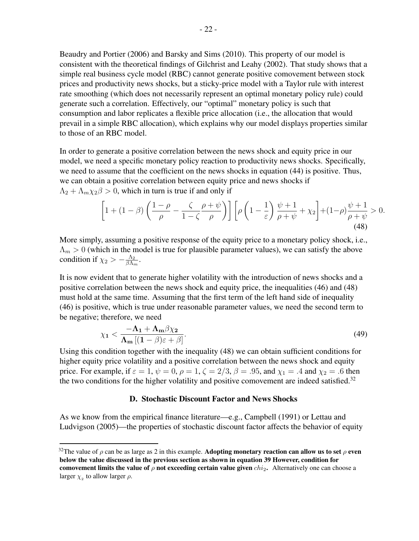Beaudry and Portier (2006) and Barsky and Sims (2010). This property of our model is consistent with the theoretical findings of Gilchrist and Leahy (2002). That study shows that a simple real business cycle model (RBC) cannot generate positive comovement between stock prices and productivity news shocks, but a sticky-price model with a Taylor rule with interest rate smoothing (which does not necessarily represent an optimal monetary policy rule) could generate such a correlation. Effectively, our "optimal" monetary policy is such that consumption and labor replicates a flexible price allocation (i.e., the allocation that would prevail in a simple RBC allocation), which explains why our model displays properties similar to those of an RBC model.

In order to generate a positive correlation between the news shock and equity price in our model, we need a specific monetary policy reaction to productivity news shocks. Specifically, we need to assume that the coefficient on the news shocks in equation (44) is positive. Thus, we can obtain a positive correlation between equity price and news shocks if  $\Lambda_2 + \Lambda_m \chi_2 \beta > 0$ , which in turn is true if and only if

$$
\left[1+(1-\beta)\left(\frac{1-\rho}{\rho}-\frac{\zeta}{1-\zeta}\frac{\rho+\psi}{\rho}\right)\right]\left[\rho\left(1-\frac{1}{\varepsilon}\right)\frac{\psi+1}{\rho+\psi}+\chi_2\right]+(1-\rho)\frac{\psi+1}{\rho+\psi}>0.\tag{48}
$$

More simply, assuming a positive response of the equity price to a monetary policy shock, i.e.,  $\Lambda_m > 0$  (which in the model is true for plausible parameter values), we can satisfy the above condition if  $\chi_2$  >  $-\frac{\Lambda_2}{\beta \Lambda_2}$  $\frac{\Lambda_2}{\beta\Lambda_m}.$ 

It is now evident that to generate higher volatility with the introduction of news shocks and a positive correlation between the news shock and equity price, the inequalities (46) and (48) must hold at the same time. Assuming that the first term of the left hand side of inequality (46) is positive, which is true under reasonable parameter values, we need the second term to be negative; therefore, we need

$$
\chi_1 < \frac{-\Lambda_1 + \Lambda_m \beta \chi_2}{\Lambda_m \left[ (1 - \beta)\varepsilon + \beta \right]}.\tag{49}
$$

Using this condition together with the inequality (48) we can obtain sufficient conditions for higher equity price volatility and a positive correlation between the news shock and equity price. For example, if  $\varepsilon = 1$ ,  $\psi = 0$ ,  $\rho = 1$ ,  $\zeta = 2/3$ ,  $\beta = .95$ , and  $\chi_1 = .4$  and  $\chi_2 = .6$  then the two conditions for the higher volatility and positive comovement are indeed satisfied.<sup>32</sup>

#### D. Stochastic Discount Factor and News Shocks

As we know from the empirical finance literature—e.g., Campbell (1991) or Lettau and Ludvigson (2005)—the properties of stochastic discount factor affects the behavior of equity

<sup>&</sup>lt;sup>32</sup>The value of  $\rho$  can be as large as 2 in this example. Adopting monetary reaction can allow us to set  $\rho$  even below the value discussed in the previous section as shown in equation 39 However, condition for comovement limits the value of  $\rho$  not exceeding certain value given *chi*<sub>2</sub>. Alternatively one can choose a larger  $\chi$ <sub>2</sub> to allow larger  $\rho$ .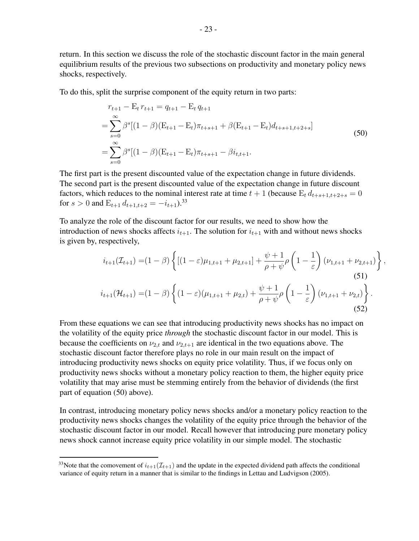return. In this section we discuss the role of the stochastic discount factor in the main general equilibrium results of the previous two subsections on productivity and monetary policy news shocks, respectively.

To do this, split the surprise component of the equity return in two parts:

$$
r_{t+1} - \mathbf{E}_t r_{t+1} = q_{t+1} - \mathbf{E}_t q_{t+1}
$$
  
= 
$$
\sum_{s=0}^{\infty} \beta^s [(1-\beta)(\mathbf{E}_{t+1} - \mathbf{E}_t)\pi_{t+s+1} + \beta(\mathbf{E}_{t+1} - \mathbf{E}_t)d_{t+s+1,t+2+s}]
$$
  
= 
$$
\sum_{s=0}^{\infty} \beta^s [(1-\beta)(\mathbf{E}_{t+1} - \mathbf{E}_t)\pi_{t+s+1} - \beta i_{t,t+1}].
$$
 (50)

The first part is the present discounted value of the expectation change in future dividends. The second part is the present discounted value of the expectation change in future discount factors, which reduces to the nominal interest rate at time  $t + 1$  (because  $E_t d_{t+s+1,t+2+s} = 0$ for  $s > 0$  and  $E_{t+1} d_{t+1,t+2} = -i_{t+1}$ .<sup>33</sup>

To analyze the role of the discount factor for our results, we need to show how the introduction of news shocks affects  $i_{t+1}$ . The solution for  $i_{t+1}$  with and without news shocks is given by, respectively,

$$
i_{t+1}(\mathcal{I}_{t+1}) = (1-\beta) \left\{ \left[ (1-\varepsilon)\mu_{1,t+1} + \mu_{2,t+1} \right] + \frac{\psi+1}{\rho+\psi} \rho \left( 1 - \frac{1}{\varepsilon} \right) (\nu_{1,t+1} + \nu_{2,t+1}) \right\},\tag{51}
$$

$$
i_{t+1}(\mathcal{H}_{t+1}) = (1-\beta) \left\{ (1-\varepsilon)(\mu_{1,t+1} + \mu_{2,t}) + \frac{\psi+1}{\rho+\psi} \rho \left( 1 - \frac{1}{\varepsilon} \right) (\nu_{1,t+1} + \nu_{2,t}) \right\}.
$$

$$
(52)
$$

From these equations we can see that introducing productivity news shocks has no impact on the volatility of the equity price *through* the stochastic discount factor in our model. This is because the coefficients on  $\nu_{2,t}$  and  $\nu_{2,t+1}$  are identical in the two equations above. The stochastic discount factor therefore plays no role in our main result on the impact of introducing productivity news shocks on equity price volatility. Thus, if we focus only on productivity news shocks without a monetary policy reaction to them, the higher equity price volatility that may arise must be stemming entirely from the behavior of dividends (the first part of equation (50) above).

In contrast, introducing monetary policy news shocks and/or a monetary policy reaction to the productivity news shocks changes the volatility of the equity price through the behavior of the stochastic discount factor in our model. Recall however that introducing pure monetary policy news shock cannot increase equity price volatility in our simple model. The stochastic

<sup>&</sup>lt;sup>33</sup>Note that the comovement of  $i_{t+1}(\mathcal{I}_{t+1})$  and the update in the expected dividend path affects the conditional variance of equity return in a manner that is similar to the findings in Lettau and Ludvigson (2005).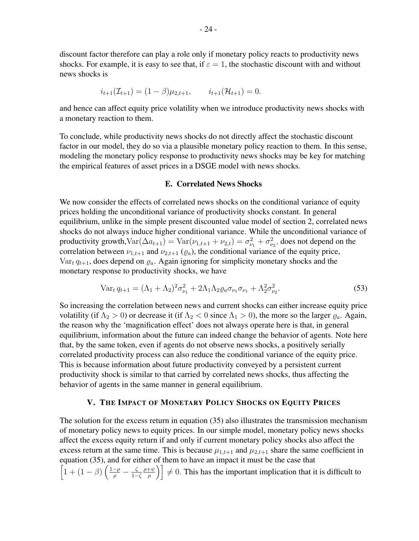discount factor therefore can play a role only if monetary policy reacts to productivity news shocks. For example, it is easy to see that, if  $\varepsilon = 1$ , the stochastic discount with and without news shocks is

$$
i_{t+1}(\mathcal{I}_{t+1}) = (1 - \beta)\mu_{2,t+1}, \qquad i_{t+1}(\mathcal{H}_{t+1}) = 0.
$$

and hence can affect equity price volatility when we introduce productivity news shocks with a monetary reaction to them.

To conclude, while productivity news shocks do not directly affect the stochastic discount factor in our model, they do so via a plausible monetary policy reaction to them. In this sense, modeling the monetary policy response to productivity news shocks may be key for matching the empirical features of asset prices in a DSGE model with news shocks.

## E. Correlated News Shocks

We now consider the effects of correlated news shocks on the conditional variance of equity prices holding the unconditional variance of productivity shocks constant. In general equilibrium, unlike in the simple present discounted value model of section 2, correlated news shocks do not always induce higher conditional variance. While the unconditional variance of productivity growth, $Var(\Delta a_{t+1}) = Var(\nu_{1,t+1} + \nu_{2,t}) = \sigma_{\nu_1}^2 + \sigma_{\nu_2}^2$ , does not depend on the correlation between  $\nu_{1,t+1}$  and  $\nu_{2,t+1}$  ( $\varrho_a$ ), the conditional variance of the equity price,  $Var_t q_{t+1}$ , does depend on  $\varrho_a$ . Again ignoring for simplicity monetary shocks and the monetary response to productivity shocks, we have

$$
\text{Var}_{t} q_{t+1} = (\Lambda_1 + \Lambda_2)^2 \sigma_{\nu_1}^2 + 2\Lambda_1 \Lambda_2 \varrho_a \sigma_{\nu_1} \sigma_{\nu_1} + \Lambda_2^2 \sigma_{\nu_2}^2. \tag{53}
$$

So increasing the correlation between news and current shocks can either increase equity price volatility (if  $\Lambda_2 > 0$ ) or decrease it (if  $\Lambda_2 < 0$  since  $\Lambda_1 > 0$ ), the more so the larger  $\varrho_a$ . Again, the reason why the 'magnification effect' does not always operate here is that, in general equilibrium, information about the future can indeed change the behavior of agents. Note here that, by the same token, even if agents do not observe news shocks, a positively serially correlated productivity process can also reduce the conditional variance of the equity price. This is because information about future productivity conveyed by a persistent current productivity shock is similar to that carried by correlated news shocks, thus affecting the behavior of agents in the same manner in general equilibrium.

## V. THE IMPACT OF MONETARY POLICY SHOCKS ON EQUITY PRICES

The solution for the excess return in equation (35) also illustrates the transmission mechanism of monetary policy news to equity prices. In our simple model, monetary policy news shocks affect the excess equity return if and only if current monetary policy shocks also affect the excess return at the same time. This is because  $\mu_{1,t+1}$  and  $\mu_{2,t+1}$  share the same coefficient in equation (35), and for either of them to have an impact it must be the case that  $\left[1 + (1 - \beta)\left(\frac{1 - \rho}{\rho} - \frac{\zeta}{1 - \rho}\right)\right]$ 1*−ζ ρ*+*ψ*  $\left(\frac{1+\psi}{\rho}\right)$   $\neq$  0. This has the important implication that it is difficult to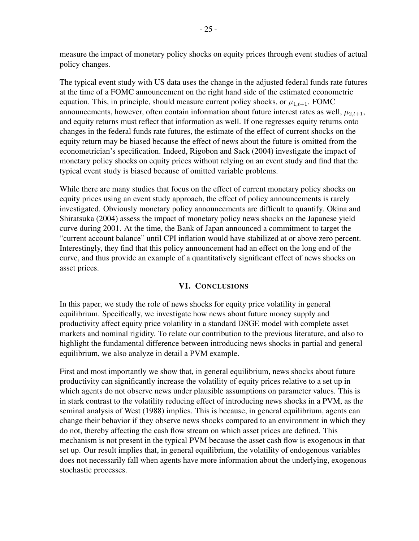measure the impact of monetary policy shocks on equity prices through event studies of actual policy changes.

The typical event study with US data uses the change in the adjusted federal funds rate futures at the time of a FOMC announcement on the right hand side of the estimated econometric equation. This, in principle, should measure current policy shocks, or  $\mu_{1,t+1}$ . FOMC announcements, however, often contain information about future interest rates as well,  $\mu_{2,t+1}$ , and equity returns must reflect that information as well. If one regresses equity returns onto changes in the federal funds rate futures, the estimate of the effect of current shocks on the equity return may be biased because the effect of news about the future is omitted from the econometrician's specification. Indeed, Rigobon and Sack (2004) investigate the impact of monetary policy shocks on equity prices without relying on an event study and find that the typical event study is biased because of omitted variable problems.

While there are many studies that focus on the effect of current monetary policy shocks on equity prices using an event study approach, the effect of policy announcements is rarely investigated. Obviously monetary policy announcements are difficult to quantify. Okina and Shiratsuka (2004) assess the impact of monetary policy news shocks on the Japanese yield curve during 2001. At the time, the Bank of Japan announced a commitment to target the "current account balance" until CPI inflation would have stabilized at or above zero percent. Interestingly, they find that this policy announcement had an effect on the long end of the curve, and thus provide an example of a quantitatively significant effect of news shocks on asset prices.

## VI. CONCLUSIONS

In this paper, we study the role of news shocks for equity price volatility in general equilibrium. Specifically, we investigate how news about future money supply and productivity affect equity price volatility in a standard DSGE model with complete asset markets and nominal rigidity. To relate our contribution to the previous literature, and also to highlight the fundamental difference between introducing news shocks in partial and general equilibrium, we also analyze in detail a PVM example.

First and most importantly we show that, in general equilibrium, news shocks about future productivity can significantly increase the volatility of equity prices relative to a set up in which agents do not observe news under plausible assumptions on parameter values. This is in stark contrast to the volatility reducing effect of introducing news shocks in a PVM, as the seminal analysis of West (1988) implies. This is because, in general equilibrium, agents can change their behavior if they observe news shocks compared to an environment in which they do not, thereby affecting the cash flow stream on which asset prices are defined. This mechanism is not present in the typical PVM because the asset cash flow is exogenous in that set up. Our result implies that, in general equilibrium, the volatility of endogenous variables does not necessarily fall when agents have more information about the underlying, exogenous stochastic processes.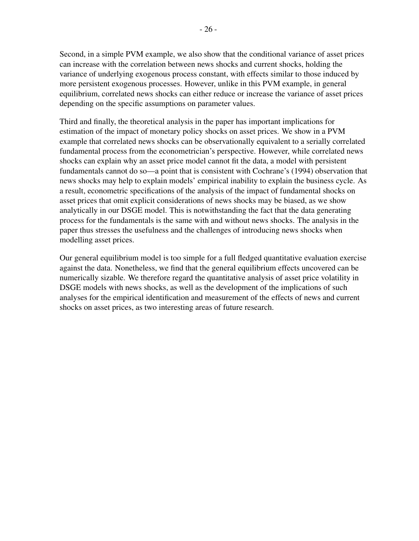Second, in a simple PVM example, we also show that the conditional variance of asset prices can increase with the correlation between news shocks and current shocks, holding the variance of underlying exogenous process constant, with effects similar to those induced by more persistent exogenous processes. However, unlike in this PVM example, in general equilibrium, correlated news shocks can either reduce or increase the variance of asset prices depending on the specific assumptions on parameter values.

Third and finally, the theoretical analysis in the paper has important implications for estimation of the impact of monetary policy shocks on asset prices. We show in a PVM example that correlated news shocks can be observationally equivalent to a serially correlated fundamental process from the econometrician's perspective. However, while correlated news shocks can explain why an asset price model cannot fit the data, a model with persistent fundamentals cannot do so—a point that is consistent with Cochrane's (1994) observation that news shocks may help to explain models' empirical inability to explain the business cycle. As a result, econometric specifications of the analysis of the impact of fundamental shocks on asset prices that omit explicit considerations of news shocks may be biased, as we show analytically in our DSGE model. This is notwithstanding the fact that the data generating process for the fundamentals is the same with and without news shocks. The analysis in the paper thus stresses the usefulness and the challenges of introducing news shocks when modelling asset prices.

Our general equilibrium model is too simple for a full fledged quantitative evaluation exercise against the data. Nonetheless, we find that the general equilibrium effects uncovered can be numerically sizable. We therefore regard the quantitative analysis of asset price volatility in DSGE models with news shocks, as well as the development of the implications of such analyses for the empirical identification and measurement of the effects of news and current shocks on asset prices, as two interesting areas of future research.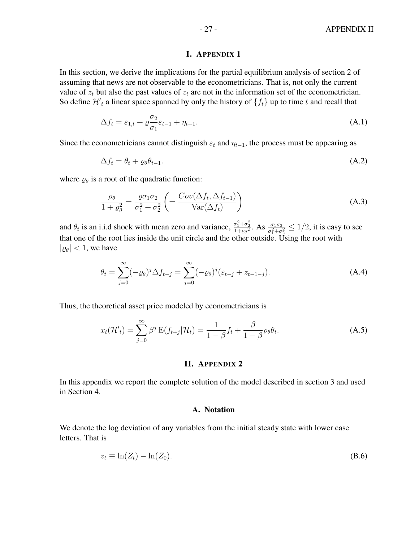#### I. APPENDIX 1

In this section, we derive the implications for the partial equilibrium analysis of section 2 of assuming that news are not observable to the econometricians. That is, not only the current value of  $z_t$  but also the past values of  $z_t$  are not in the information set of the econometrician. So define  $\mathcal{H}'_t$  a linear space spanned by only the history of  $\{f_t\}$  up to time *t* and recall that

$$
\Delta f_t = \varepsilon_{1,t} + \varrho \frac{\sigma_2}{\sigma_1} \varepsilon_{t-1} + \eta_{t-1}.
$$
\n(A.1)

Since the econometricians cannot distinguish  $\varepsilon_t$  and  $\eta_{t-1}$ , the process must be appearing as

$$
\Delta f_t = \theta_t + \varrho_\theta \theta_{t-1}.\tag{A.2}
$$

where  $\varrho_{\theta}$  is a root of the quadratic function:

$$
\frac{\rho_{\theta}}{1+\varrho_{\theta}^2} = \frac{\varrho \sigma_1 \sigma_2}{\sigma_1^2 + \sigma_2^2} \left( = \frac{Cov(\Delta f_t, \Delta f_{t-1})}{Var(\Delta f_t)} \right)
$$
(A.3)

and  $\theta_t$  is an i.i.d shock with mean zero and variance,  $\frac{\sigma_1^2 + \sigma_2^2}{1 + \rho_\theta^2}$ . As  $\frac{\sigma_1 \sigma_2}{\sigma_1^2 + \sigma_2^2} \le 1/2$ , it is easy to see that one of the root lies inside the unit circle and the other outside. Using the root with  $|\rho_{\theta}| < 1$ , we have

$$
\theta_t = \sum_{j=0}^{\infty} (-\varrho_{\theta})^j \Delta f_{t-j} = \sum_{j=0}^{\infty} (-\varrho_{\theta})^j (\varepsilon_{t-j} + z_{t-1-j}).
$$
\n(A.4)

Thus, the theoretical asset price modeled by econometricians is

$$
x_t(\mathcal{H}'_t) = \sum_{j=0}^{\infty} \beta^j \mathbf{E}(f_{t+j}|\mathcal{H}_t) = \frac{1}{1-\beta} f_t + \frac{\beta}{1-\beta} \rho_\theta \theta_t.
$$
 (A.5)

#### II. APPENDIX 2

In this appendix we report the complete solution of the model described in section 3 and used in Section 4.

## A. Notation

We denote the log deviation of any variables from the initial steady state with lower case letters. That is

$$
z_t \equiv \ln(Z_t) - \ln(Z_0). \tag{B.6}
$$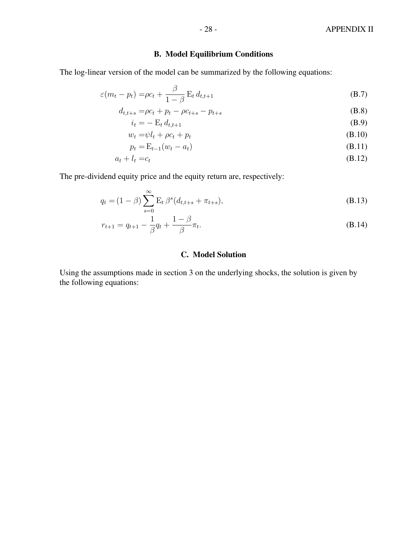# B. Model Equilibrium Conditions

The log-linear version of the model can be summarized by the following equations:

$$
\varepsilon(m_t - p_t) = \rho c_t + \frac{\beta}{1 - \beta} \mathbf{E}_t d_{t,t+1}
$$
\n(B.7)

$$
d_{t,t+s} = \rho c_t + p_t - \rho c_{t+s} - p_{t+s}
$$
 (B.8)

$$
i_t = -\mathcal{E}_t d_{t,t+1} \tag{B.9}
$$

$$
w_t = \psi l_t + \rho c_t + p_t \tag{B.10}
$$

$$
p_t = E_{t-1}(w_t - a_t)
$$
 (B.11)

$$
a_t + l_t = c_t \tag{B.12}
$$

The pre-dividend equity price and the equity return are, respectively:

$$
q_t = (1 - \beta) \sum_{s=0}^{\infty} \mathcal{E}_t \beta^s (d_{t,t+s} + \pi_{t+s}),
$$
\n(B.13)

$$
r_{t+1} = q_{t+1} - \frac{1}{\beta}q_t + \frac{1-\beta}{\beta}\pi_t.
$$
 (B.14)

# C. Model Solution

Using the assumptions made in section 3 on the underlying shocks, the solution is given by the following equations: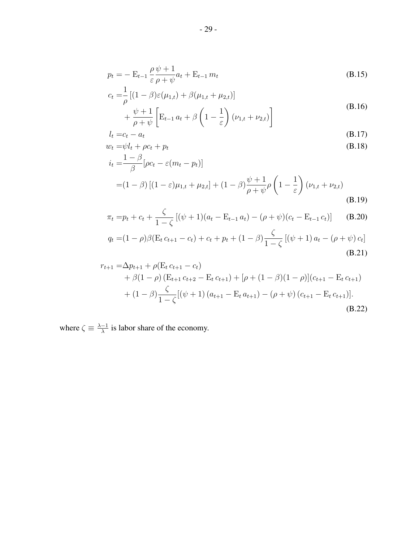$$
p_t = -\mathcal{E}_{t-1} \frac{\rho}{\varepsilon} \frac{\psi + 1}{\rho + \psi} a_t + \mathcal{E}_{t-1} m_t
$$
 (B.15)

$$
c_{t} = \frac{1}{\rho} [(1 - \beta)\varepsilon(\mu_{1,t}) + \beta(\mu_{1,t} + \mu_{2,t})] + \frac{\psi + 1}{\rho + \psi} \left[ E_{t-1} a_{t} + \beta \left( 1 - \frac{1}{\varepsilon} \right) (\nu_{1,t} + \nu_{2,t}) \right]
$$
(B.16)

$$
l_t = c_t - a_t \tag{B.17}
$$

$$
w_{t} = \psi l_{t} + \rho c_{t} + p_{t}
$$
\n(B.18)  
\n
$$
i_{t} = \frac{1 - \beta}{\beta} [\rho c_{t} - \varepsilon (m_{t} - p_{t})]
$$
\n
$$
= (1 - \beta) [(1 - \varepsilon) \mu_{1,t} + \mu_{2,t}] + (1 - \beta) \frac{\psi + 1}{\rho + \psi} \rho \left( 1 - \frac{1}{\varepsilon} \right) (\nu_{1,t} + \nu_{2,t})
$$
\n(B.19)

$$
\pi_t = p_t + c_t + \frac{\zeta}{1-\zeta} \left[ (\psi + 1)(a_t - \mathbf{E}_{t-1} a_t) - (\rho + \psi)(c_t - \mathbf{E}_{t-1} c_t) \right] \tag{B.20}
$$

$$
q_t = (1 - \rho)\beta \left( E_t c_{t+1} - c_t \right) + c_t + p_t + (1 - \beta) \frac{\zeta}{1 - \zeta} \left[ (\psi + 1) a_t - (\rho + \psi) c_t \right]
$$
\n(B.21)

$$
r_{t+1} = \Delta p_{t+1} + \rho (E_t c_{t+1} - c_t)
$$
  
+  $\beta (1 - \rho) (E_{t+1} c_{t+2} - E_t c_{t+1}) + [\rho + (1 - \beta)(1 - \rho)](c_{t+1} - E_t c_{t+1})$   
+  $(1 - \beta) \frac{\zeta}{1 - \zeta} [(\psi + 1) (a_{t+1} - E_t a_{t+1}) - (\rho + \psi) (c_{t+1} - E_t c_{t+1})].$   
(B.22)

where  $\zeta \equiv \frac{\lambda - 1}{\lambda}$  is labor share of the economy.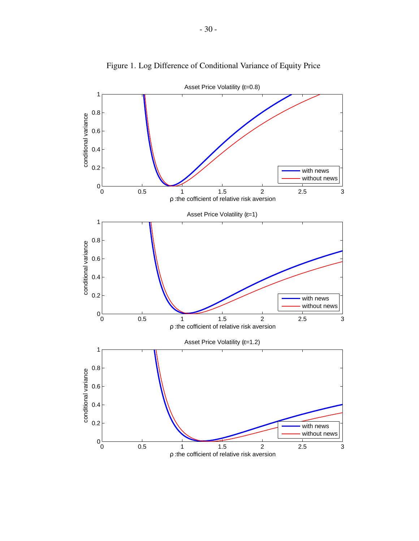

Figure 1. Log Difference of Conditional Variance of Equity Price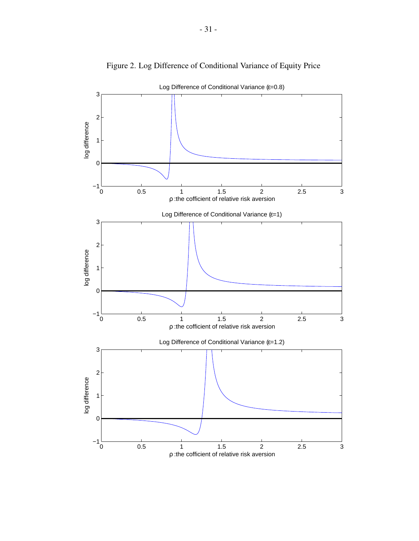

Figure 2. Log Difference of Conditional Variance of Equity Price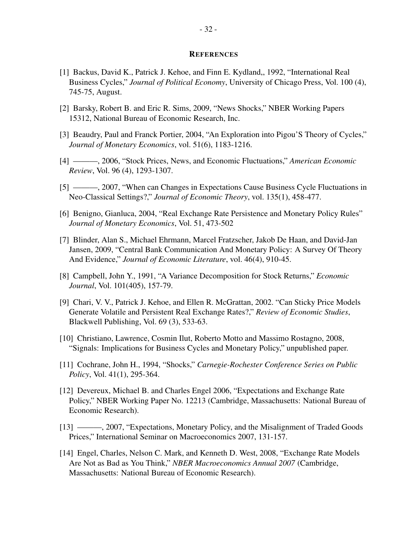#### **REFERENCES**

- [1] Backus, David K., Patrick J. Kehoe, and Finn E. Kydland,, 1992, "International Real Business Cycles," *Journal of Political Economy*, University of Chicago Press, Vol. 100 (4), 745-75, August.
- [2] Barsky, Robert B. and Eric R. Sims, 2009, "News Shocks," NBER Working Papers 15312, National Bureau of Economic Research, Inc.
- [3] Beaudry, Paul and Franck Portier, 2004, "An Exploration into Pigou'S Theory of Cycles," *Journal of Monetary Economics*, vol. 51(6), 1183-1216.
- [4] ———, 2006, "Stock Prices, News, and Economic Fluctuations," *American Economic Review*, Vol. 96 (4), 1293-1307.
- [5] ———, 2007, "When can Changes in Expectations Cause Business Cycle Fluctuations in Neo-Classical Settings?," *Journal of Economic Theory*, vol. 135(1), 458-477.
- [6] Benigno, Gianluca, 2004, "Real Exchange Rate Persistence and Monetary Policy Rules" *Journal of Monetary Economics*, Vol. 51, 473-502
- [7] Blinder, Alan S., Michael Ehrmann, Marcel Fratzscher, Jakob De Haan, and David-Jan Jansen, 2009, "Central Bank Communication And Monetary Policy: A Survey Of Theory And Evidence," *Journal of Economic Literature*, vol. 46(4), 910-45.
- [8] Campbell, John Y., 1991, "A Variance Decomposition for Stock Returns," *Economic Journal*, Vol. 101(405), 157-79.
- [9] Chari, V. V., Patrick J. Kehoe, and Ellen R. McGrattan, 2002. "Can Sticky Price Models Generate Volatile and Persistent Real Exchange Rates?," *Review of Economic Studies*, Blackwell Publishing, Vol. 69 (3), 533-63.
- [10] Christiano, Lawrence, Cosmin Ilut, Roberto Motto and Massimo Rostagno, 2008, "Signals: Implications for Business Cycles and Monetary Policy," unpublished paper.
- [11] Cochrane, John H., 1994, "Shocks," *Carnegie-Rochester Conference Series on Public Policy*, Vol. 41(1), 295-364.
- [12] Devereux, Michael B. and Charles Engel 2006, "Expectations and Exchange Rate Policy," NBER Working Paper No. 12213 (Cambridge, Massachusetts: National Bureau of Economic Research).
- [13] ———, 2007, "Expectations, Monetary Policy, and the Misalignment of Traded Goods Prices," International Seminar on Macroeconomics 2007, 131-157.
- [14] Engel, Charles, Nelson C. Mark, and Kenneth D. West, 2008, "Exchange Rate Models Are Not as Bad as You Think," *NBER Macroeconomics Annual 2007* (Cambridge, Massachusetts: National Bureau of Economic Research).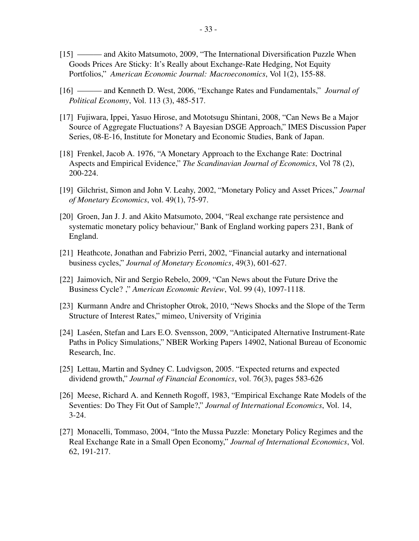- [15] ——— and Akito Matsumoto, 2009, "The International Diversification Puzzle When Goods Prices Are Sticky: It's Really about Exchange-Rate Hedging, Not Equity Portfolios," *American Economic Journal: Macroeconomics*, Vol 1(2), 155-88.
- [16] ——— and Kenneth D. West, 2006, "Exchange Rates and Fundamentals," *Journal of Political Economy*, Vol. 113 (3), 485-517.
- [17] Fujiwara, Ippei, Yasuo Hirose, and Mototsugu Shintani, 2008, "Can News Be a Major Source of Aggregate Fluctuations? A Bayesian DSGE Approach," IMES Discussion Paper Series, 08-E-16, Institute for Monetary and Economic Studies, Bank of Japan.
- [18] Frenkel, Jacob A. 1976, "A Monetary Approach to the Exchange Rate: Doctrinal Aspects and Empirical Evidence," *The Scandinavian Journal of Economics*, Vol 78 (2), 200-224.
- [19] Gilchrist, Simon and John V. Leahy, 2002, "Monetary Policy and Asset Prices," *Journal of Monetary Economics*, vol. 49(1), 75-97.
- [20] Groen, Jan J. J. and Akito Matsumoto, 2004, "Real exchange rate persistence and systematic monetary policy behaviour," Bank of England working papers 231, Bank of England.
- [21] Heathcote, Jonathan and Fabrizio Perri, 2002, "Financial autarky and international business cycles," *Journal of Monetary Economics*, 49(3), 601-627.
- [22] Jaimovich, Nir and Sergio Rebelo, 2009, "Can News about the Future Drive the Business Cycle? ," *American Economic Review*, Vol. 99 (4), 1097-1118.
- [23] Kurmann Andre and Christopher Otrok, 2010, "News Shocks and the Slope of the Term Structure of Interest Rates," mimeo, University of Vriginia
- [24] Laséen, Stefan and Lars E.O. Svensson, 2009, "Anticipated Alternative Instrument-Rate Paths in Policy Simulations," NBER Working Papers 14902, National Bureau of Economic Research, Inc.
- [25] Lettau, Martin and Sydney C. Ludvigson, 2005. "Expected returns and expected dividend growth," *Journal of Financial Economics*, vol. 76(3), pages 583-626
- [26] Meese, Richard A. and Kenneth Rogoff, 1983, "Empirical Exchange Rate Models of the Seventies: Do They Fit Out of Sample?," *Journal of International Economics*, Vol. 14, 3-24.
- [27] Monacelli, Tommaso, 2004, "Into the Mussa Puzzle: Monetary Policy Regimes and the Real Exchange Rate in a Small Open Economy," *Journal of International Economics*, Vol. 62, 191-217.